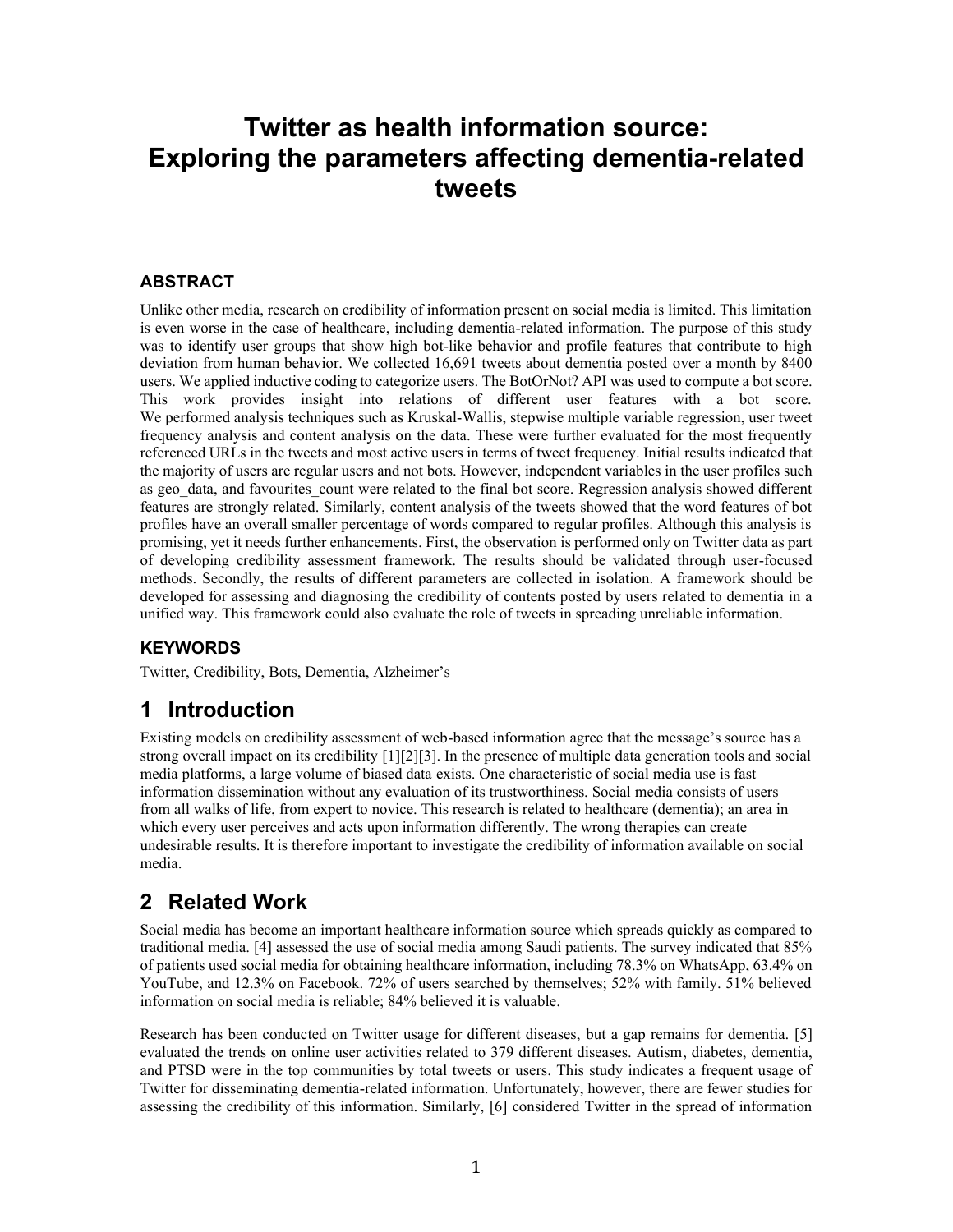# **Twitter as health information source: Exploring the parameters affecting dementia-related tweets**

#### **ABSTRACT**

Unlike other media, research on credibility of information present on social media is limited. This limitation is even worse in the case of healthcare, including dementia-related information. The purpose of this study was to identify user groups that show high bot-like behavior and profile features that contribute to high deviation from human behavior. We collected 16,691 tweets about dementia posted over a month by 8400 users. We applied inductive coding to categorize users. The BotOrNot? API was used to compute a bot score. This work provides insight into relations of different user features with a bot score. We performed analysis techniques such as Kruskal-Wallis, stepwise multiple variable regression, user tweet frequency analysis and content analysis on the data. These were further evaluated for the most frequently referenced URLs in the tweets and most active users in terms of tweet frequency. Initial results indicated that the majority of users are regular users and not bots. However, independent variables in the user profiles such as geo data, and favourites count were related to the final bot score. Regression analysis showed different features are strongly related. Similarly, content analysis of the tweets showed that the word features of bot profiles have an overall smaller percentage of words compared to regular profiles. Although this analysis is promising, yet it needs further enhancements. First, the observation is performed only on Twitter data as part of developing credibility assessment framework. The results should be validated through user-focused methods. Secondly, the results of different parameters are collected in isolation. A framework should be developed for assessing and diagnosing the credibility of contents posted by users related to dementia in a unified way. This framework could also evaluate the role of tweets in spreading unreliable information.

### **KEYWORDS**

Twitter, Credibility, Bots, Dementia, Alzheimer's

# **1 Introduction**

Existing models on credibility assessment of web-based information agree that the message's source has a strong overall impact on its credibility [1][2][3]. In the presence of multiple data generation tools and social media platforms, a large volume of biased data exists. One characteristic of social media use is fast information dissemination without any evaluation of its trustworthiness. Social media consists of users from all walks of life, from expert to novice. This research is related to healthcare (dementia); an area in which every user perceives and acts upon information differently. The wrong therapies can create undesirable results. It is therefore important to investigate the credibility of information available on social media.

# **2 Related Work**

Social media has become an important healthcare information source which spreads quickly as compared to traditional media. [4] assessed the use of social media among Saudi patients. The survey indicated that 85% of patients used social media for obtaining healthcare information, including 78.3% on WhatsApp, 63.4% on YouTube, and 12.3% on Facebook. 72% of users searched by themselves; 52% with family. 51% believed information on social media is reliable; 84% believed it is valuable.

Research has been conducted on Twitter usage for different diseases, but a gap remains for dementia. [5] evaluated the trends on online user activities related to 379 different diseases. Autism, diabetes, dementia, and PTSD were in the top communities by total tweets or users. This study indicates a frequent usage of Twitter for disseminating dementia-related information. Unfortunately, however, there are fewer studies for assessing the credibility of this information. Similarly, [6] considered Twitter in the spread of information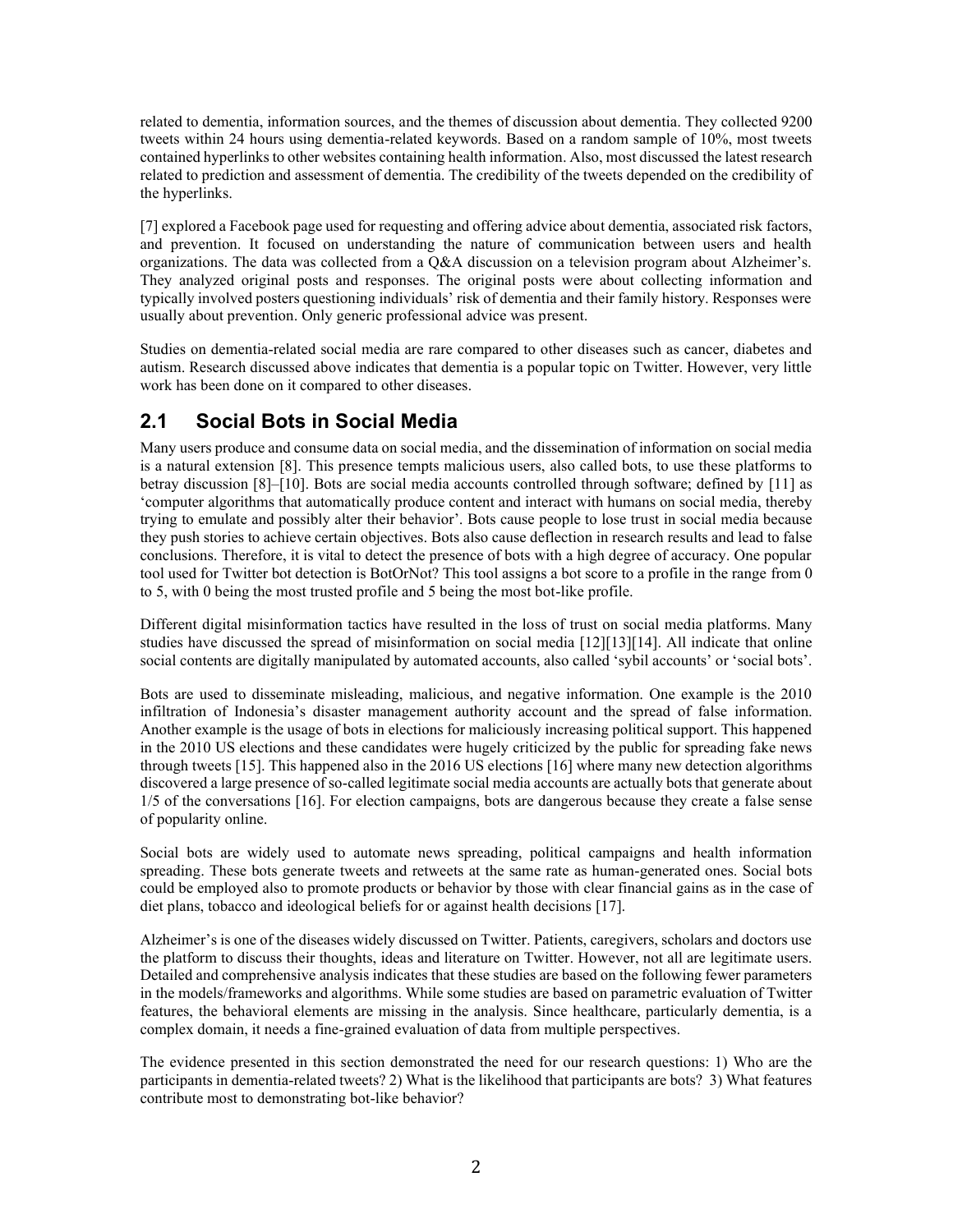related to dementia, information sources, and the themes of discussion about dementia. They collected 9200 tweets within 24 hours using dementia-related keywords. Based on a random sample of 10%, most tweets contained hyperlinks to other websites containing health information. Also, most discussed the latest research related to prediction and assessment of dementia. The credibility of the tweets depended on the credibility of the hyperlinks.

[7] explored a Facebook page used for requesting and offering advice about dementia, associated risk factors, and prevention. It focused on understanding the nature of communication between users and health organizations. The data was collected from a Q&A discussion on a television program about Alzheimer's. They analyzed original posts and responses. The original posts were about collecting information and typically involved posters questioning individuals' risk of dementia and their family history. Responses were usually about prevention. Only generic professional advice was present.

Studies on dementia-related social media are rare compared to other diseases such as cancer, diabetes and autism. Research discussed above indicates that dementia is a popular topic on Twitter. However, very little work has been done on it compared to other diseases.

## **2.1 Social Bots in Social Media**

Many users produce and consume data on social media, and the dissemination of information on social media is a natural extension [8]. This presence tempts malicious users, also called bots, to use these platforms to betray discussion [8]–[10]. Bots are social media accounts controlled through software; defined by [11] as 'computer algorithms that automatically produce content and interact with humans on social media, thereby trying to emulate and possibly alter their behavior'. Bots cause people to lose trust in social media because they push stories to achieve certain objectives. Bots also cause deflection in research results and lead to false conclusions. Therefore, it is vital to detect the presence of bots with a high degree of accuracy. One popular tool used for Twitter bot detection is BotOrNot? This tool assigns a bot score to a profile in the range from 0 to 5, with 0 being the most trusted profile and 5 being the most bot-like profile.

Different digital misinformation tactics have resulted in the loss of trust on social media platforms. Many studies have discussed the spread of misinformation on social media [12][13][14]. All indicate that online social contents are digitally manipulated by automated accounts, also called 'sybil accounts' or 'social bots'.

Bots are used to disseminate misleading, malicious, and negative information. One example is the 2010 infiltration of Indonesia's disaster management authority account and the spread of false information. Another example is the usage of bots in elections for maliciously increasing political support. This happened in the 2010 US elections and these candidates were hugely criticized by the public for spreading fake news through tweets [15]. This happened also in the 2016 US elections [16] where many new detection algorithms discovered a large presence of so-called legitimate social media accounts are actually bots that generate about 1/5 of the conversations [16]. For election campaigns, bots are dangerous because they create a false sense of popularity online.

Social bots are widely used to automate news spreading, political campaigns and health information spreading. These bots generate tweets and retweets at the same rate as human-generated ones. Social bots could be employed also to promote products or behavior by those with clear financial gains as in the case of diet plans, tobacco and ideological beliefs for or against health decisions [17].

Alzheimer's is one of the diseases widely discussed on Twitter. Patients, caregivers, scholars and doctors use the platform to discuss their thoughts, ideas and literature on Twitter. However, not all are legitimate users. Detailed and comprehensive analysis indicates that these studies are based on the following fewer parameters in the models/frameworks and algorithms. While some studies are based on parametric evaluation of Twitter features, the behavioral elements are missing in the analysis. Since healthcare, particularly dementia, is a complex domain, it needs a fine-grained evaluation of data from multiple perspectives.

The evidence presented in this section demonstrated the need for our research questions: 1) Who are the participants in dementia-related tweets? 2) What is the likelihood that participants are bots? 3) What features contribute most to demonstrating bot-like behavior?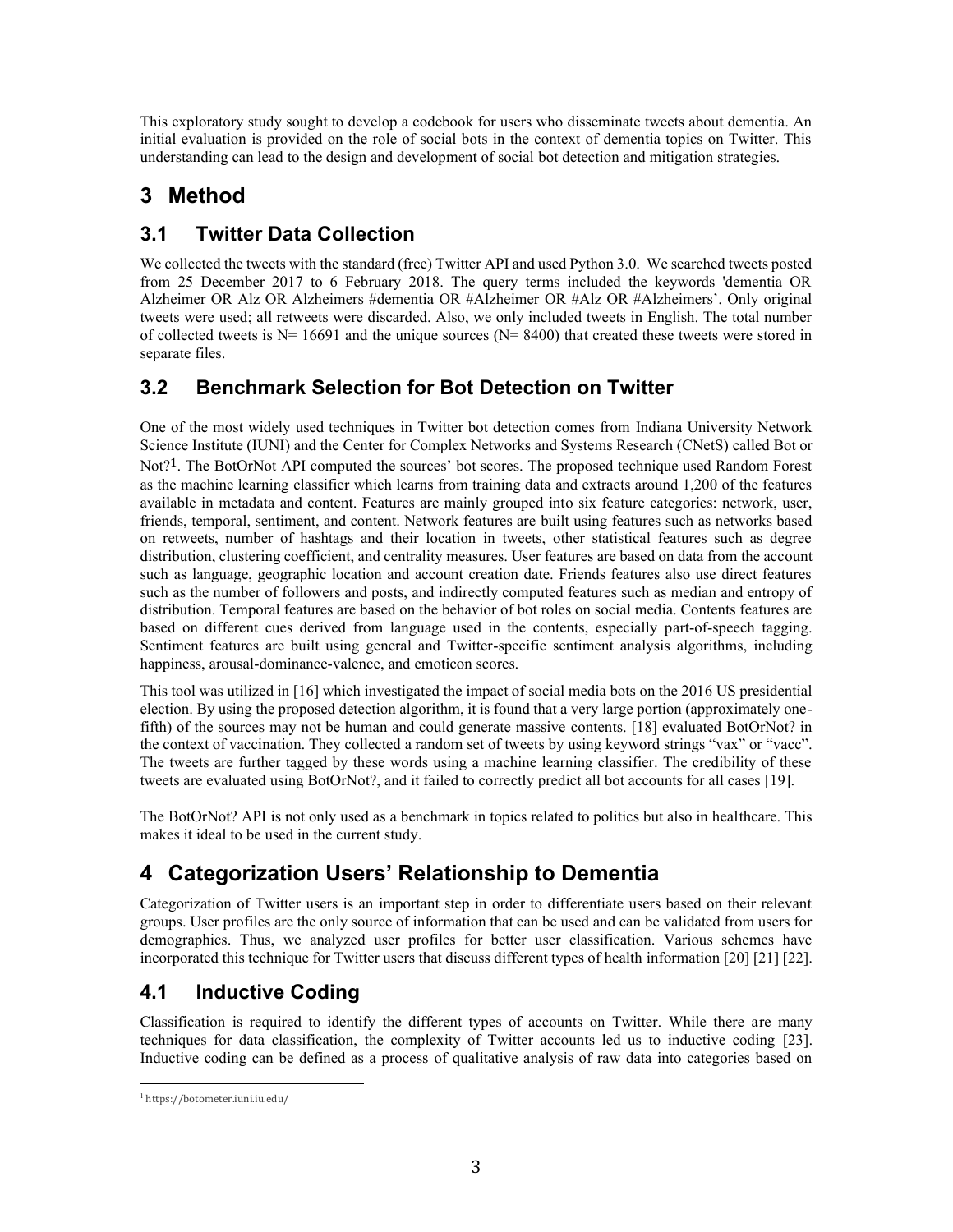This exploratory study sought to develop a codebook for users who disseminate tweets about dementia. An initial evaluation is provided on the role of social bots in the context of dementia topics on Twitter. This understanding can lead to the design and development of social bot detection and mitigation strategies.

# **3 Method**

# **3.1 Twitter Data Collection**

We collected the tweets with the standard (free) Twitter API and used Python 3.0. We searched tweets posted from 25 December 2017 to 6 February 2018. The query terms included the keywords 'dementia OR Alzheimer OR Alz OR Alzheimers #dementia OR #Alzheimer OR #Alz OR #Alzheimers'. Only original tweets were used; all retweets were discarded. Also, we only included tweets in English. The total number of collected tweets is  $N= 16691$  and the unique sources ( $N= 8400$ ) that created these tweets were stored in separate files.

# **3.2 Benchmark Selection for Bot Detection on Twitter**

One of the most widely used techniques in Twitter bot detection comes from [Indiana University Network](https://iuni.iu.edu/)  [Science Institute \(IUNI\)](https://iuni.iu.edu/) and the [Center for Complex Networks and Systems Research \(CNetS\)](https://cnets.indiana.edu/) called Bot or Not?<sup>1</sup>. The BotOrNot API computed the sources' bot scores. The proposed technique used Random Forest as the machine learning classifier which learns from training data and extracts around 1,200 of the features available in metadata and content. Features are mainly grouped into six feature categories: network, user, friends, temporal, sentiment, and content. Network features are built using features such as networks based on retweets, number of hashtags and their location in tweets, other statistical features such as degree distribution, clustering coefficient, and centrality measures. User features are based on data from the account such as language, geographic location and account creation date. Friends features also use direct features such as the number of followers and posts, and indirectly computed features such as median and entropy of distribution. Temporal features are based on the behavior of bot roles on social media. Contents features are based on different cues derived from language used in the contents, especially part-of-speech tagging. Sentiment features are built using general and Twitter-specific sentiment analysis algorithms, including happiness, arousal-dominance-valence, and emoticon scores.

This tool was utilized in [16] which investigated the impact of social media bots on the 2016 US presidential election. By using the proposed detection algorithm, it is found that a very large portion (approximately onefifth) of the sources may not be human and could generate massive contents. [18] evaluated BotOrNot? in the context of vaccination. They collected a random set of tweets by using keyword strings "vax" or "vacc". The tweets are further tagged by these words using a machine learning classifier. The credibility of these tweets are evaluated using BotOrNot?, and it failed to correctly predict all bot accounts for all cases [19].

The BotOrNot? API is not only used as a benchmark in topics related to politics but also in healthcare. This makes it ideal to be used in the current study.

# **4 Categorization Users' Relationship to Dementia**

Categorization of Twitter users is an important step in order to differentiate users based on their relevant groups. User profiles are the only source of information that can be used and can be validated from users for demographics. Thus, we analyzed user profiles for better user classification. Various schemes have incorporated this technique for Twitter users that discuss different types of health information [20] [21] [22].

# **4.1 Inductive Coding**

Classification is required to identify the different types of accounts on Twitter. While there are many techniques for data classification, the complexity of Twitter accounts led us to inductive coding [23]. Inductive coding can be defined as a process of qualitative analysis of raw data into categories based on

<sup>1</sup> [https://botometer.iuni.iu.edu/](https://botometer.iuni.iu.edu/#!/)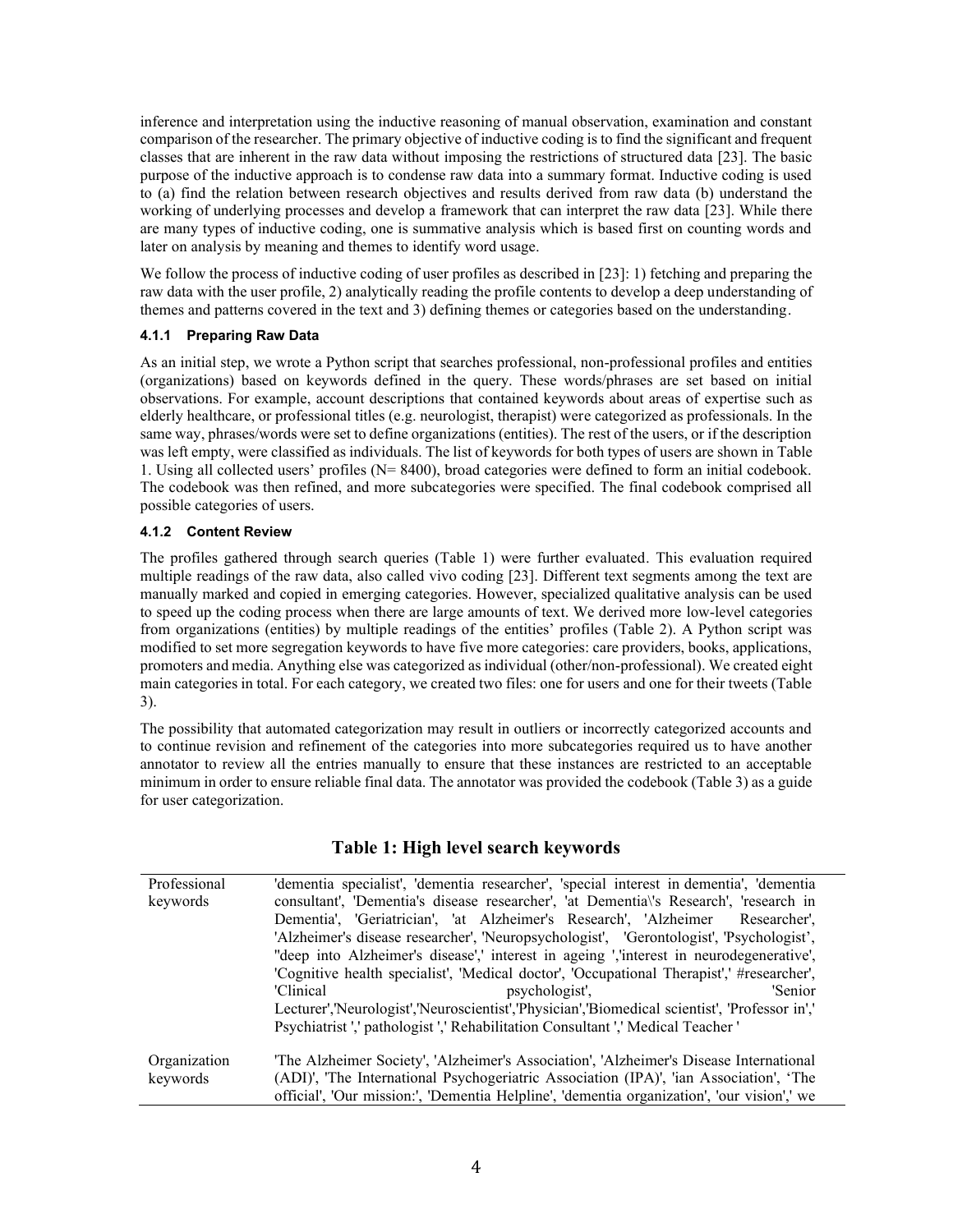inference and interpretation using the inductive reasoning of manual observation, examination and constant comparison of the researcher. The primary objective of inductive coding is to find the significant and frequent classes that are inherent in the raw data without imposing the restrictions of structured data [23]. The basic purpose of the inductive approach is to condense raw data into a summary format. Inductive coding is used to (a) find the relation between research objectives and results derived from raw data (b) understand the working of underlying processes and develop a framework that can interpret the raw data [23]. While there are many types of inductive coding, one is summative analysis which is based first on counting words and later on analysis by meaning and themes to identify word usage.

We follow the process of inductive coding of user profiles as described in [23]: 1) fetching and preparing the raw data with the user profile, 2) analytically reading the profile contents to develop a deep understanding of themes and patterns covered in the text and 3) defining themes or categories based on the understanding.

#### **4.1.1 Preparing Raw Data**

As an initial step, we wrote a Python script that searches professional, non-professional profiles and entities (organizations) based on keywords defined in the query. These words/phrases are set based on initial observations. For example, account descriptions that contained keywords about areas of expertise such as elderly healthcare, or professional titles (e.g. neurologist, therapist) were categorized as professionals. In the same way, phrases/words were set to define organizations (entities). The rest of the users, or if the description was left empty, were classified as individuals. The list of keywords for both types of users are shown in Table 1. Using all collected users' profiles (N= 8400), broad categories were defined to form an initial codebook. The codebook was then refined, and more subcategories were specified. The final codebook comprised all possible categories of users.

#### **4.1.2 Content Review**

The profiles gathered through search queries (Table 1) were further evaluated. This evaluation required multiple readings of the raw data, also called vivo coding [23]. Different text segments among the text are manually marked and copied in emerging categories. However, specialized qualitative analysis can be used to speed up the coding process when there are large amounts of text. We derived more low-level categories from organizations (entities) by multiple readings of the entities' profiles (Table 2). A Python script was modified to set more segregation keywords to have five more categories: care providers, books, applications, promoters and media. Anything else was categorized as individual (other/non-professional). We created eight main categories in total. For each category, we created two files: one for users and one for their tweets (Table 3).

The possibility that automated categorization may result in outliers or incorrectly categorized accounts and to continue revision and refinement of the categories into more subcategories required us to have another annotator to review all the entries manually to ensure that these instances are restricted to an acceptable minimum in order to ensure reliable final data. The annotator was provided the codebook (Table 3) as a guide for user categorization.

| Professional<br>keywords | 'dementia specialist', 'dementia researcher', 'special interest in dementia', 'dementia<br>consultant', 'Dementia's disease researcher', 'at Dementia's Research', 'research in |
|--------------------------|---------------------------------------------------------------------------------------------------------------------------------------------------------------------------------|
|                          | Dementia', 'Geriatrician', 'at Alzheimer's Research', 'Alzheimer Researcher',                                                                                                   |
|                          | 'Alzheimer's disease researcher', 'Neuropsychologist', 'Gerontologist', 'Psychologist',                                                                                         |
|                          | "deep into Alzheimer's disease',' interest in ageing ','interest in neurodegenerative',                                                                                         |
|                          | 'Cognitive health specialist', 'Medical doctor', 'Occupational Therapist',' #researcher',                                                                                       |
|                          | 'Clinical<br>psychologist'.<br>'Senior                                                                                                                                          |
|                          | Lecturer','Neurologist','Neuroscientist','Physician','Biomedical scientist', 'Professor in','                                                                                   |
|                          | Psychiatrist ',' pathologist ',' Rehabilitation Consultant ',' Medical Teacher '                                                                                                |
|                          |                                                                                                                                                                                 |
| Organization             | 'The Alzheimer Society', 'Alzheimer's Association', 'Alzheimer's Disease International                                                                                          |
| keywords                 | (ADI)', 'The International Psychogeriatric Association (IPA)', 'ian Association', 'The                                                                                          |
|                          | official', 'Our mission:', 'Dementia Helpline', 'dementia organization', 'our vision',' we                                                                                      |

## **Table 1: High level search keywords**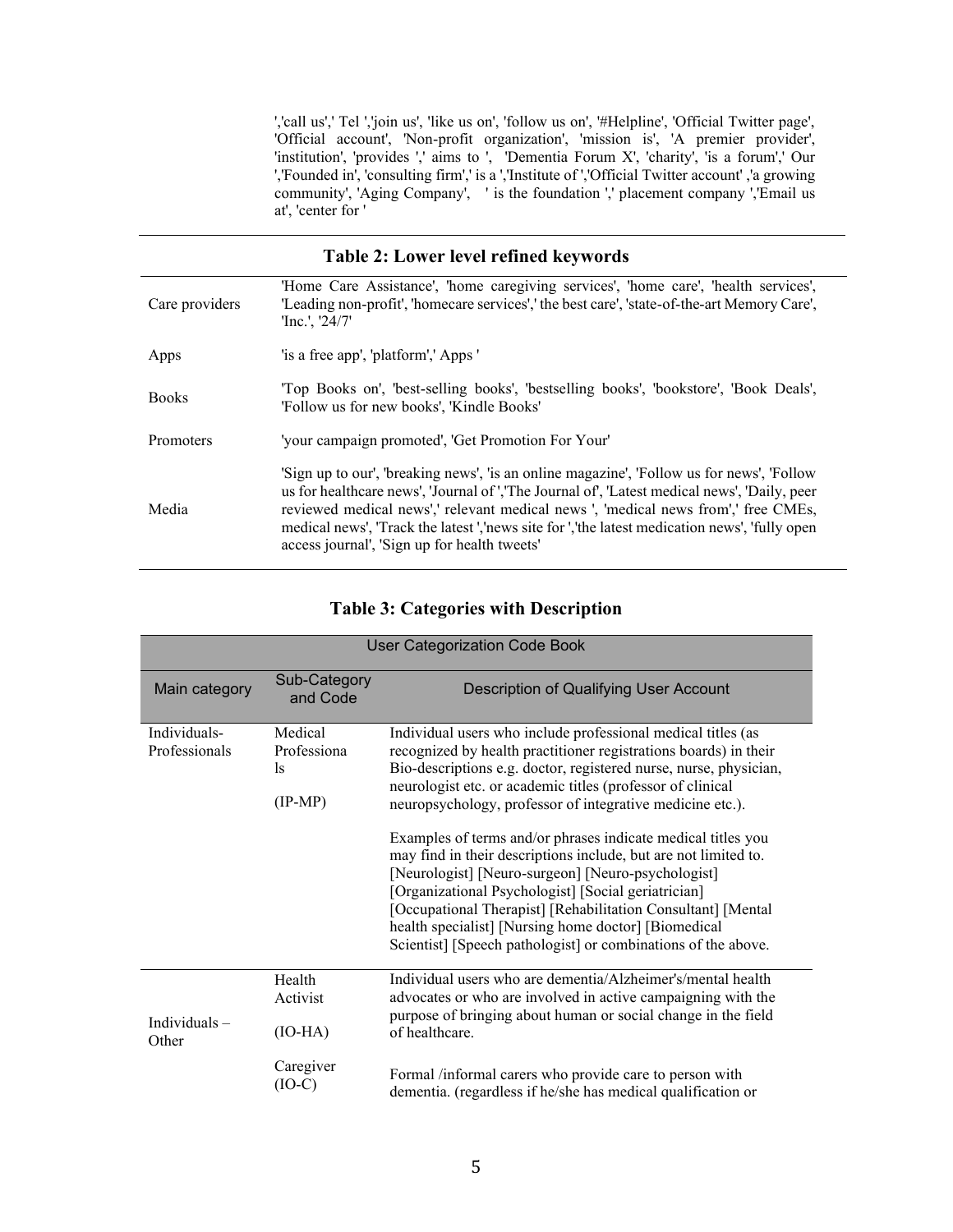','call us',' Tel ','join us', 'like us on', 'follow us on', '#Helpline', 'Official Twitter page', 'Official account', 'Non-profit organization', 'mission is', 'A premier provider', 'institution', 'provides ',' aims to ', 'Dementia Forum X', 'charity', 'is a forum',' Our ','Founded in', 'consulting firm',' is a ','Institute of ','Official Twitter account' ,'a growing community', 'Aging Company', ' is the foundation ',' placement company ','Email us at', 'center for '

### **Table 2: Lower level refined keywords** Care providers 'Home Care Assistance', 'home caregiving services', 'home care', 'health services', 'Leading non-profit', 'homecare services',' the best care', 'state-of-the-art Memory Care', 'Inc.', '24/7' Apps 'is a free app', 'platform',' Apps ' Books 'Top Books on', 'best-selling books', 'bestselling books', 'bookstore', 'Book Deals', 'Follow us for new books', 'Kindle Books' Promoters 'your campaign promoted', 'Get Promotion For Your' Media 'Sign up to our', 'breaking news', 'is an online magazine', 'Follow us for news', 'Follow us for healthcare news', 'Journal of ','The Journal of', 'Latest medical news', 'Daily, peer reviewed medical news',' relevant medical news ', 'medical news from',' free CMEs, medical news', 'Track the latest ','news site for ','the latest medication news', 'fully open access journal', 'Sign up for health tweets'

## **Table 3: Categories with Description**

| <b>User Categorization Code Book</b> |                                                                  |                                                                                                                                                                                                                                                                                                                                                                                                                                                                                                                                                                                                                                                                                                                                                                           |  |  |  |  |  |
|--------------------------------------|------------------------------------------------------------------|---------------------------------------------------------------------------------------------------------------------------------------------------------------------------------------------------------------------------------------------------------------------------------------------------------------------------------------------------------------------------------------------------------------------------------------------------------------------------------------------------------------------------------------------------------------------------------------------------------------------------------------------------------------------------------------------------------------------------------------------------------------------------|--|--|--|--|--|
| Main category                        | Sub-Category<br>and Code                                         | Description of Qualifying User Account                                                                                                                                                                                                                                                                                                                                                                                                                                                                                                                                                                                                                                                                                                                                    |  |  |  |  |  |
| Individuals-<br>Professionals        | Medical<br>Professiona<br>$\mathbf{1}_{\mathbf{S}}$<br>$(IP-MP)$ | Individual users who include professional medical titles (as<br>recognized by health practitioner registrations boards) in their<br>Bio-descriptions e.g. doctor, registered nurse, nurse, physician,<br>neurologist etc. or academic titles (professor of clinical<br>neuropsychology, professor of integrative medicine etc.).<br>Examples of terms and/or phrases indicate medical titles you<br>may find in their descriptions include, but are not limited to.<br>[Neurologist] [Neuro-surgeon] [Neuro-psychologist]<br>[Organizational Psychologist] [Social geriatrician]<br>[Occupational Therapist] [Rehabilitation Consultant] [Mental<br>health specialist] [Nursing home doctor] [Biomedical<br>Scientist] [Speech pathologist] or combinations of the above. |  |  |  |  |  |
| Individuals-<br>Other                | Health<br>Activist<br>$(IO-HA)$<br>Caregiver                     | Individual users who are dementia/Alzheimer's/mental health<br>advocates or who are involved in active campaigning with the<br>purpose of bringing about human or social change in the field<br>of healthcare.                                                                                                                                                                                                                                                                                                                                                                                                                                                                                                                                                            |  |  |  |  |  |
|                                      | (IO-C)                                                           | Formal /informal carers who provide care to person with<br>dementia. (regardless if he/she has medical qualification or                                                                                                                                                                                                                                                                                                                                                                                                                                                                                                                                                                                                                                                   |  |  |  |  |  |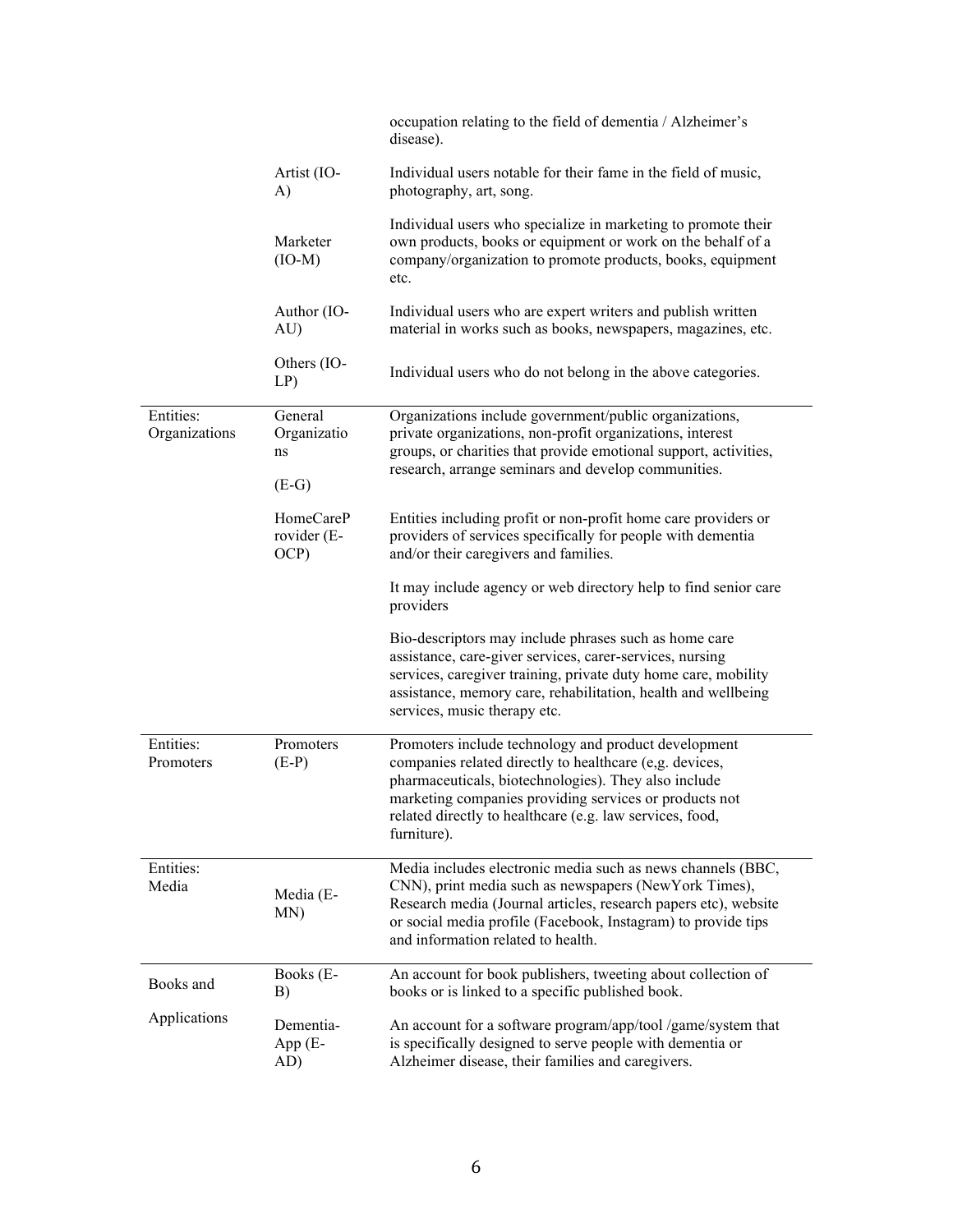|                            |                                             | occupation relating to the field of dementia / Alzheimer's<br>disease).                                                                                                                                                                                                                                      |
|----------------------------|---------------------------------------------|--------------------------------------------------------------------------------------------------------------------------------------------------------------------------------------------------------------------------------------------------------------------------------------------------------------|
|                            | Artist (IO-<br>A)                           | Individual users notable for their fame in the field of music,<br>photography, art, song.                                                                                                                                                                                                                    |
|                            | Marketer<br>$(IO-M)$                        | Individual users who specialize in marketing to promote their<br>own products, books or equipment or work on the behalf of a<br>company/organization to promote products, books, equipment<br>etc.                                                                                                           |
|                            | Author (IO-<br>AU)                          | Individual users who are expert writers and publish written<br>material in works such as books, newspapers, magazines, etc.                                                                                                                                                                                  |
|                            | Others (IO-<br>LP)                          | Individual users who do not belong in the above categories.                                                                                                                                                                                                                                                  |
| Entities:<br>Organizations | General<br>Organizatio<br>ns                | Organizations include government/public organizations,<br>private organizations, non-profit organizations, interest<br>groups, or charities that provide emotional support, activities,<br>research, arrange seminars and develop communities.                                                               |
|                            | $(E-G)$<br>HomeCareP<br>rovider (E-<br>OCP) | Entities including profit or non-profit home care providers or<br>providers of services specifically for people with dementia<br>and/or their caregivers and families.                                                                                                                                       |
|                            |                                             | It may include agency or web directory help to find senior care<br>providers                                                                                                                                                                                                                                 |
|                            |                                             | Bio-descriptors may include phrases such as home care<br>assistance, care-giver services, carer-services, nursing<br>services, caregiver training, private duty home care, mobility<br>assistance, memory care, rehabilitation, health and wellbeing<br>services, music therapy etc.                         |
| Entities:<br>Promoters     | Promoters<br>$(E-P)$                        | Promoters include technology and product development<br>companies related directly to healthcare (e,g. devices,<br>pharmaceuticals, biotechnologies). They also include<br>marketing companies providing services or products not<br>related directly to healthcare (e.g. law services, food,<br>furniture). |
| Entities:<br>Media         | Media (E-<br>MN)                            | Media includes electronic media such as news channels (BBC,<br>CNN), print media such as newspapers (NewYork Times),<br>Research media (Journal articles, research papers etc), website<br>or social media profile (Facebook, Instagram) to provide tips<br>and information related to health.               |
| Books and                  | Books (E-<br>B)                             | An account for book publishers, tweeting about collection of<br>books or is linked to a specific published book.                                                                                                                                                                                             |
| Applications               | Dementia-<br>App (E-<br>AD)                 | An account for a software program/app/tool /game/system that<br>is specifically designed to serve people with dementia or<br>Alzheimer disease, their families and caregivers.                                                                                                                               |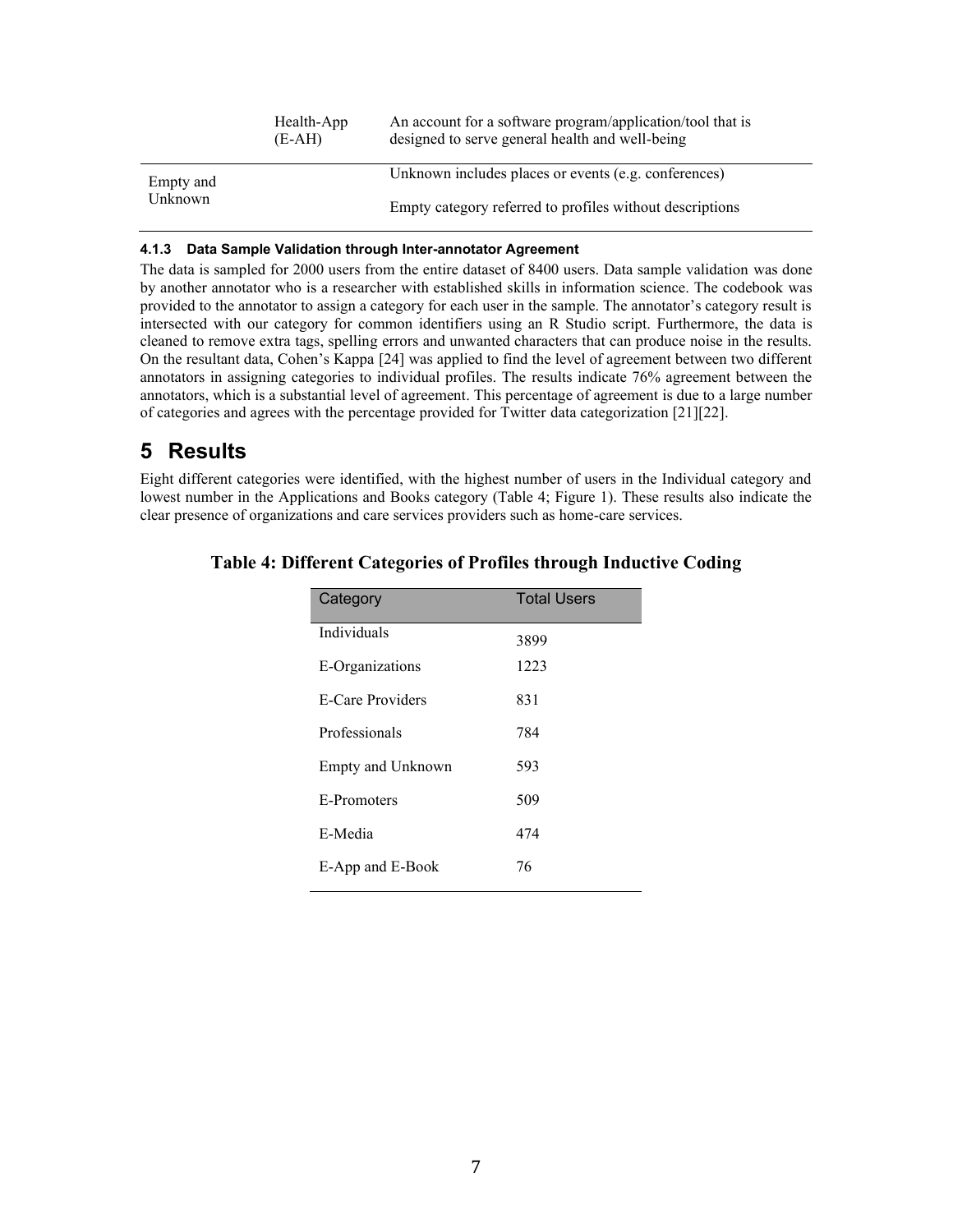|           | Health-App<br>$(E-AH)$ | An account for a software program/application/tool that is<br>designed to serve general health and well-being |
|-----------|------------------------|---------------------------------------------------------------------------------------------------------------|
| Empty and |                        | Unknown includes places or events (e.g. conferences)                                                          |
| Unknown   |                        | Empty category referred to profiles without descriptions                                                      |

#### **4.1.3 Data Sample Validation through Inter-annotator Agreement**

The data is sampled for 2000 users from the entire dataset of 8400 users. Data sample validation was done by another annotator who is a researcher with established skills in information science. The codebook was provided to the annotator to assign a category for each user in the sample. The annotator's category result is intersected with our category for common identifiers using an R Studio script. Furthermore, the data is cleaned to remove extra tags, spelling errors and unwanted characters that can produce noise in the results. On the resultant data, Cohen's Kappa [24] was applied to find the level of agreement between two different annotators in assigning categories to individual profiles. The results indicate 76% agreement between the annotators, which is a substantial level of agreement. This percentage of agreement is due to a large number of categories and agrees with the percentage provided for Twitter data categorization [21][22].

# **5 Results**

Eight different categories were identified, with the highest number of users in the Individual category and lowest number in the Applications and Books category (Table 4; Figure 1). These results also indicate the clear presence of organizations and care services providers such as home-care services.

| Category          | <b>Total Users</b> |
|-------------------|--------------------|
| Individuals       | 3899               |
| E-Organizations   | 1223               |
| E-Care Providers  | 831                |
| Professionals     | 784                |
| Empty and Unknown | 593                |
| E-Promoters       | 509                |
| E-Media           | 474                |
| E-App and E-Book  | 76                 |

### **Table 4: Different Categories of Profiles through Inductive Coding**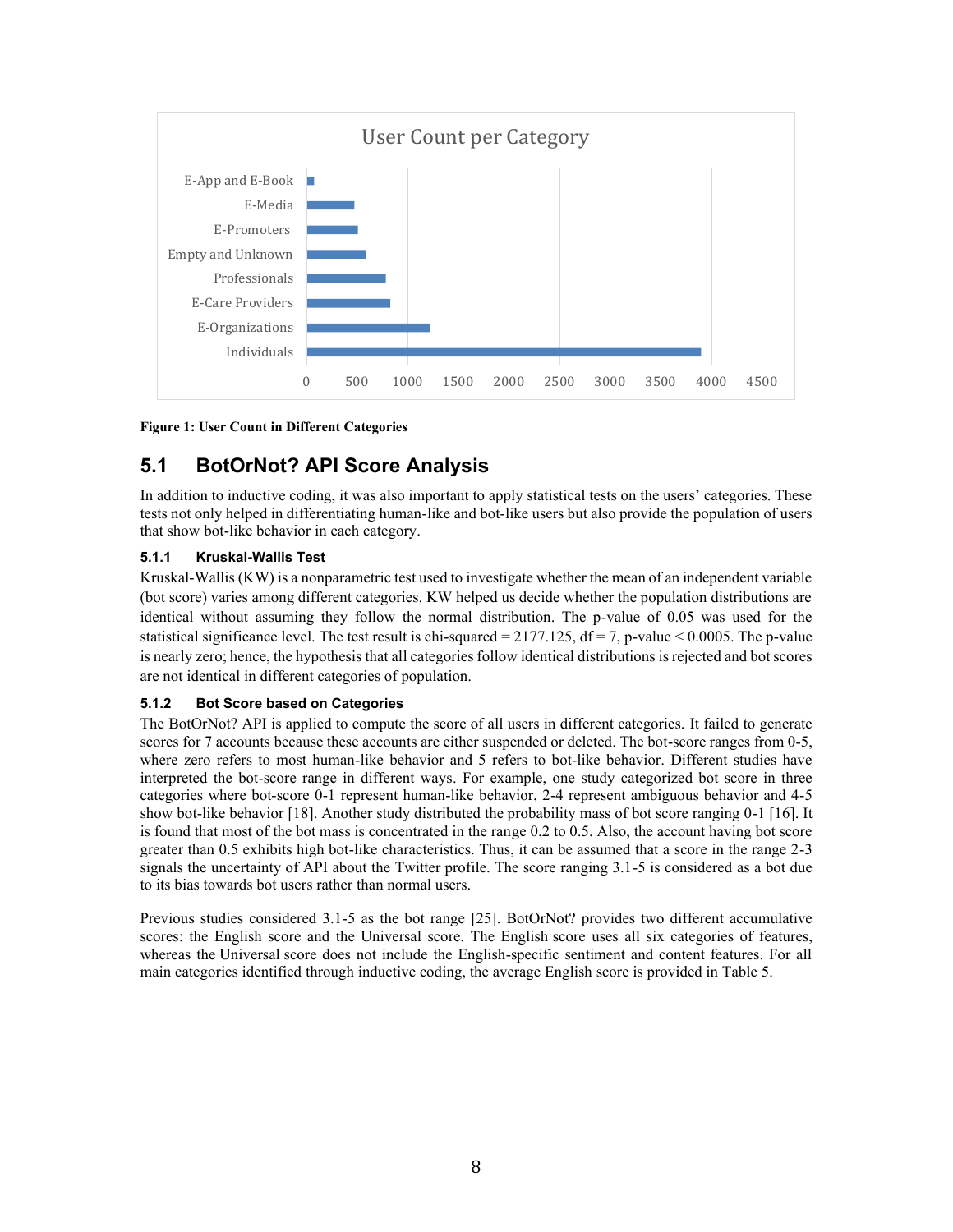

**Figure 1: User Count in Different Categories**

# **5.1 BotOrNot? API Score Analysis**

In addition to inductive coding, it was also important to apply statistical tests on the users' categories. These tests not only helped in differentiating human-like and bot-like users but also provide the population of users that show bot-like behavior in each category.

#### **5.1.1 Kruskal-Wallis Test**

Kruskal-Wallis (KW) is a nonparametric test used to investigate whether the mean of an independent variable (bot score) varies among different categories. KW helped us decide whether the population distributions are identical without assuming they follow the normal distribution. The p-value of 0.05 was used for the statistical significance level. The test result is chi-squared  $= 2177.125$ , df  $= 7$ , p-value  $< 0.0005$ . The p-value is nearly zero; hence, the hypothesis that all categories follow identical distributions is rejected and bot scores are not identical in different categories of population.

#### **5.1.2 Bot Score based on Categories**

The BotOrNot? API is applied to compute the score of all users in different categories. It failed to generate scores for 7 accounts because these accounts are either suspended or deleted. The bot-score ranges from 0-5, where zero refers to most human-like behavior and 5 refers to bot-like behavior. Different studies have interpreted the bot-score range in different ways. For example, one study categorized bot score in three categories where bot-score 0-1 represent human-like behavior, 2-4 represent ambiguous behavior and 4-5 show bot-like behavior [18]. Another study distributed the probability mass of bot score ranging 0-1 [16]. It is found that most of the bot mass is concentrated in the range 0.2 to 0.5. Also, the account having bot score greater than 0.5 exhibits high bot-like characteristics. Thus, it can be assumed that a score in the range 2-3 signals the uncertainty of API about the Twitter profile. The score ranging 3.1-5 is considered as a bot due to its bias towards bot users rather than normal users.

Previous studies considered 3.1-5 as the bot range [25]. BotOrNot? provides two different accumulative scores: the English score and the Universal score. The English score uses all six categories of features, whereas the Universal score does not include the English-specific sentiment and content features. For all main categories identified through inductive coding, the average English score is provided in Table 5.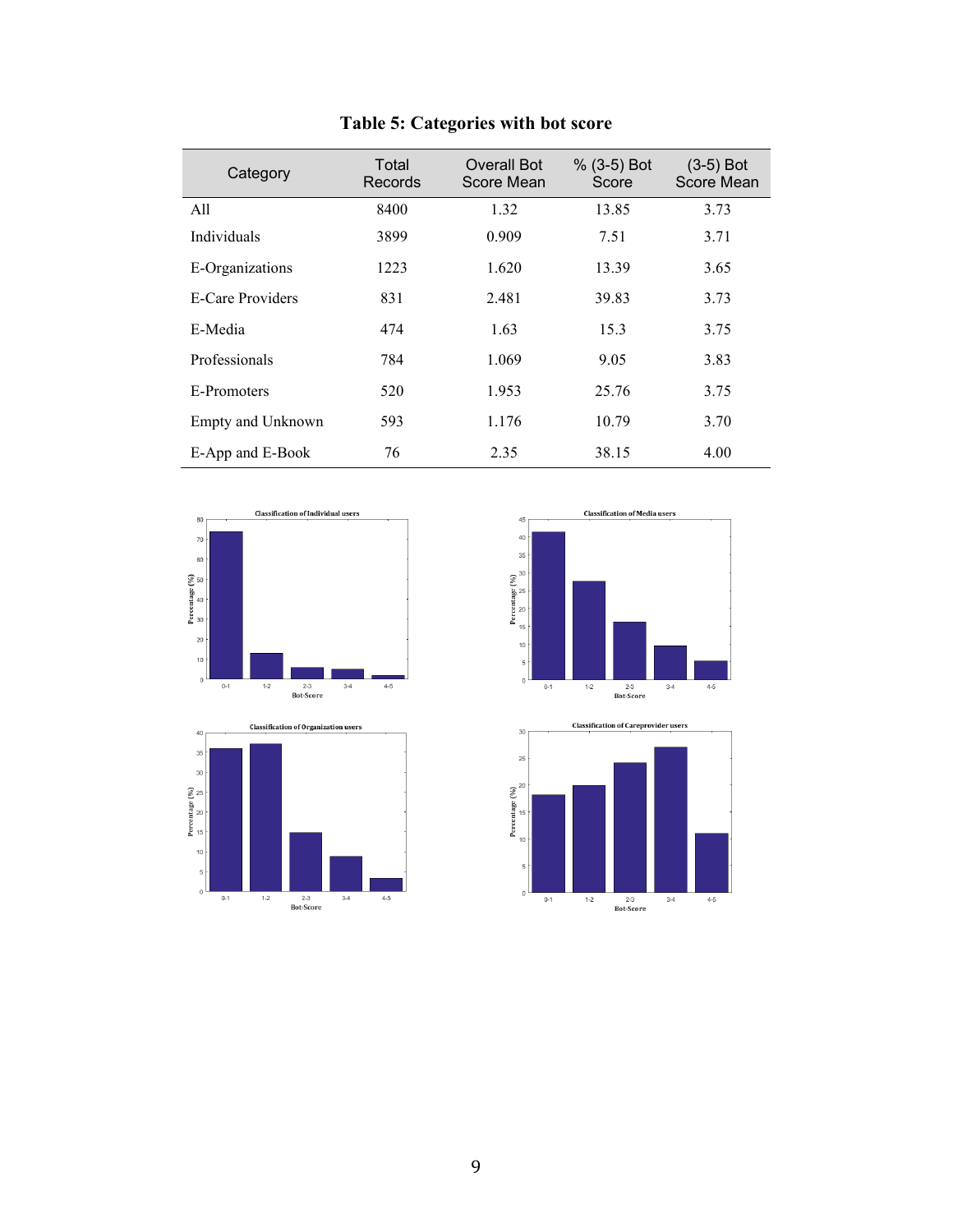|  | Table 5: Categories with bot score |  |  |  |
|--|------------------------------------|--|--|--|
|--|------------------------------------|--|--|--|

| Category          | Total<br>Records | <b>Overall Bot</b><br>Score Mean | $% (3-5)$ Bot<br>Score | $(3-5)$ Bot<br>Score Mean |
|-------------------|------------------|----------------------------------|------------------------|---------------------------|
| All               | 8400             | 1.32                             | 13.85                  | 3.73                      |
| Individuals       | 3899             | 0.909                            | 7.51                   | 3.71                      |
| E-Organizations   | 1223             | 1.620                            | 13.39                  | 3.65                      |
| E-Care Providers  | 831              | 2.481                            | 39.83                  | 3.73                      |
| E-Media           | 474              | 1.63                             | 15.3                   | 3.75                      |
| Professionals     | 784              | 1.069                            | 9.05                   | 3.83                      |
| E-Promoters       | 520              | 1.953                            | 25.76                  | 3.75                      |
| Empty and Unknown | 593              | 1.176                            | 10.79                  | 3.70                      |
| E-App and E-Book  | 76               | 2.35                             | 38.15                  | 4.00                      |







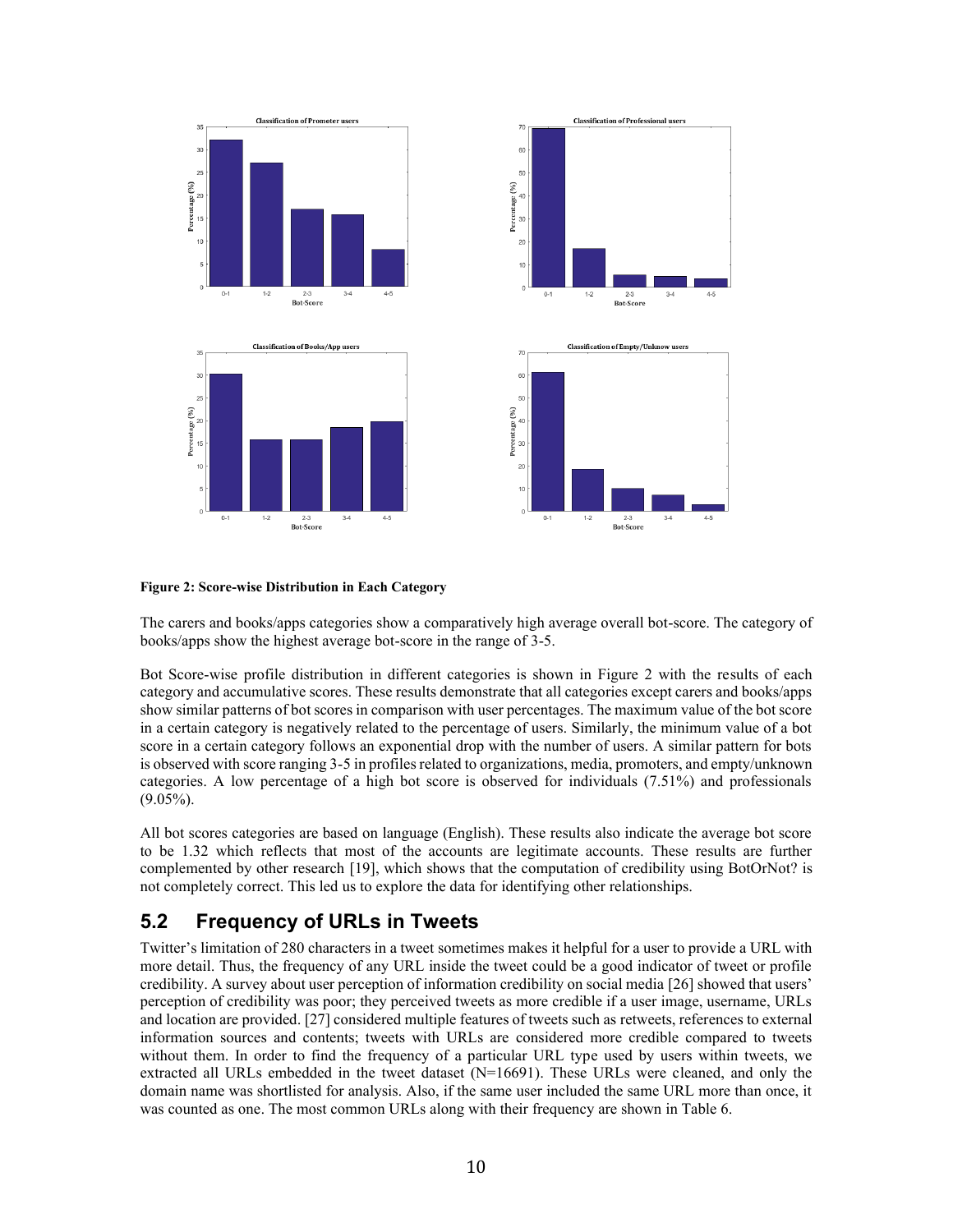

#### **Figure 2: Score-wise Distribution in Each Category**

The carers and books/apps categories show a comparatively high average overall bot-score. The category of books/apps show the highest average bot-score in the range of 3-5.

Bot Score-wise profile distribution in different categories is shown in Figure 2 with the results of each category and accumulative scores. These results demonstrate that all categories except carers and books/apps show similar patterns of bot scores in comparison with user percentages. The maximum value of the bot score in a certain category is negatively related to the percentage of users. Similarly, the minimum value of a bot score in a certain category follows an exponential drop with the number of users. A similar pattern for bots is observed with score ranging 3-5 in profiles related to organizations, media, promoters, and empty/unknown categories. A low percentage of a high bot score is observed for individuals (7.51%) and professionals (9.05%).

All bot scores categories are based on language (English). These results also indicate the average bot score to be 1.32 which reflects that most of the accounts are legitimate accounts. These results are further complemented by other research [19], which shows that the computation of credibility using BotOrNot? is not completely correct. This led us to explore the data for identifying other relationships.

## **5.2 Frequency of URLs in Tweets**

Twitter's limitation of 280 characters in a tweet sometimes makes it helpful for a user to provide a URL with more detail. Thus, the frequency of any URL inside the tweet could be a good indicator of tweet or profile credibility. A survey about user perception of information credibility on social media [26] showed that users' perception of credibility was poor; they perceived tweets as more credible if a user image, username, URLs and location are provided. [27] considered multiple features of tweets such as retweets, references to external information sources and contents; tweets with URLs are considered more credible compared to tweets without them. In order to find the frequency of a particular URL type used by users within tweets, we extracted all URLs embedded in the tweet dataset (N=16691). These URLs were cleaned, and only the domain name was shortlisted for analysis. Also, if the same user included the same URL more than once, it was counted as one. The most common URLs along with their frequency are shown in Table 6.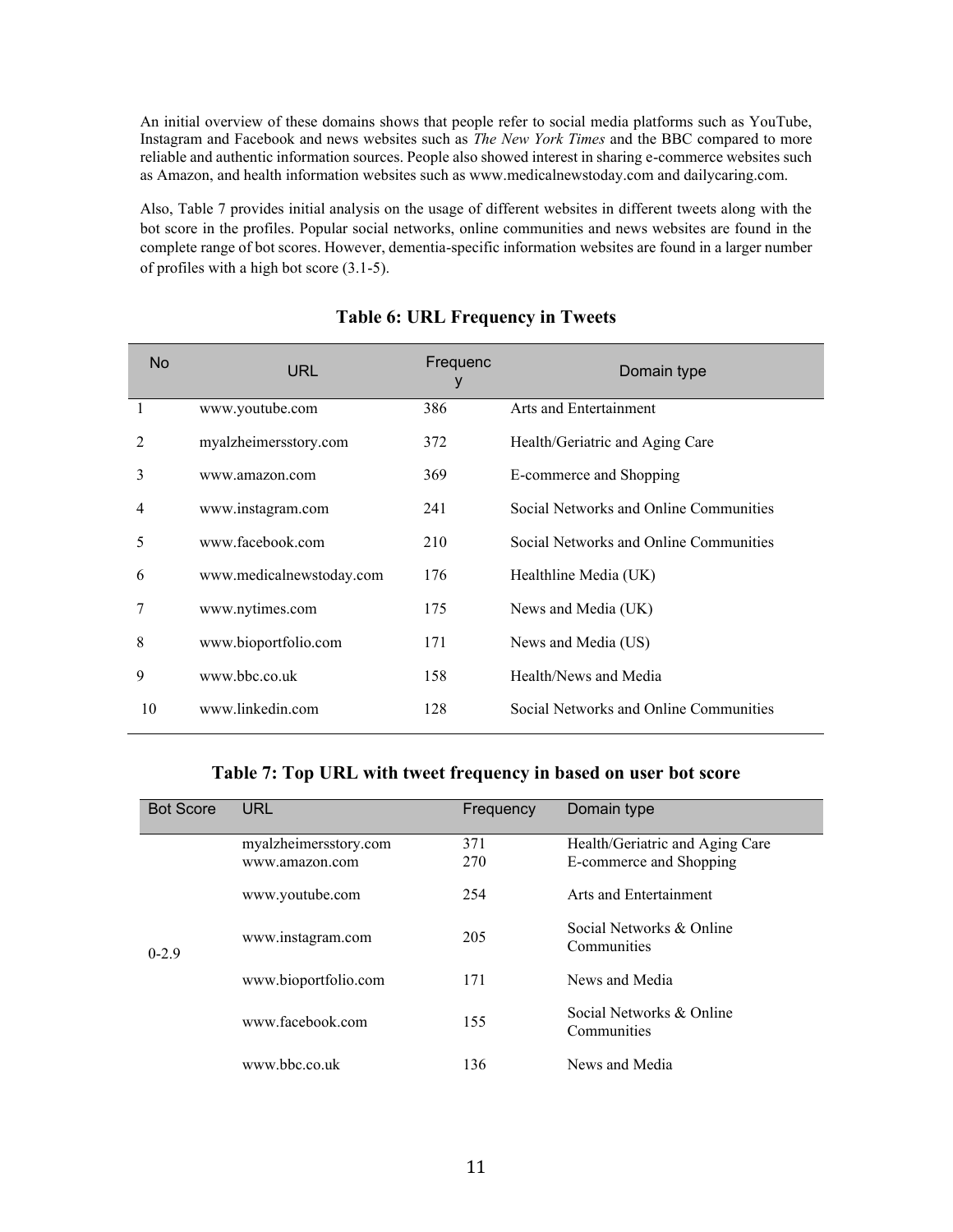An initial overview of these domains shows that people refer to social media platforms such as YouTube, Instagram and Facebook and news websites such as *The New York Times* and the BBC compared to more reliable and authentic information sources. People also showed interest in sharing e-commerce websites such as Amazon, and health information websites such as www.medicalnewstoday.com and dailycaring.com.

Also, Table 7 provides initial analysis on the usage of different websites in different tweets along with the bot score in the profiles. Popular social networks, online communities and news websites are found in the complete range of bot scores. However, dementia-specific information websites are found in a larger number of profiles with a high bot score (3.1-5).

| <b>No</b>      | <b>URL</b>               | Frequenc<br>у | Domain type                            |
|----------------|--------------------------|---------------|----------------------------------------|
|                | www.youtube.com          | 386           | Arts and Entertainment                 |
| $\mathfrak{D}$ | myalzheimersstory.com    | 372           | Health/Geriatric and Aging Care        |
| 3              | www.amazon.com           | 369           | E-commerce and Shopping                |
| 4              | www.instagram.com        | 241           | Social Networks and Online Communities |
| 5              | www.facebook.com         | 210           | Social Networks and Online Communities |
| 6              | www.medicalnewstoday.com | 176           | Healthline Media (UK)                  |
|                | www.nytimes.com          | 175           | News and Media (UK)                    |
| 8              | www.bioportfolio.com     | 171           | News and Media (US)                    |
| 9              | www.bbc.co.uk            | 158           | Health/News and Media                  |
| 10             | www.linkedin.com         | 128           | Social Networks and Online Communities |

#### **Table 6: URL Frequency in Tweets**

#### **Table 7: Top URL with tweet frequency in based on user bot score**

| <b>Bot Score</b> | <b>URL</b>            | Frequency | Domain type                     |
|------------------|-----------------------|-----------|---------------------------------|
|                  | myalzheimersstory.com | 371       | Health/Geriatric and Aging Care |
|                  | www.amazon.com        | 270       | E-commerce and Shopping         |
| $0 - 2.9$        | www.youtube.com       | 254       | Arts and Entertainment          |
|                  | www.instagram.com     | 205       | Social Networks & Online        |
|                  |                       |           | Communities                     |
|                  | www.bioportfolio.com  | 171       | News and Media                  |
|                  | www.facebook.com      | 155       | Social Networks & Online        |
|                  |                       |           | Communities                     |
|                  | www.bbc.co.uk         | 136       | News and Media                  |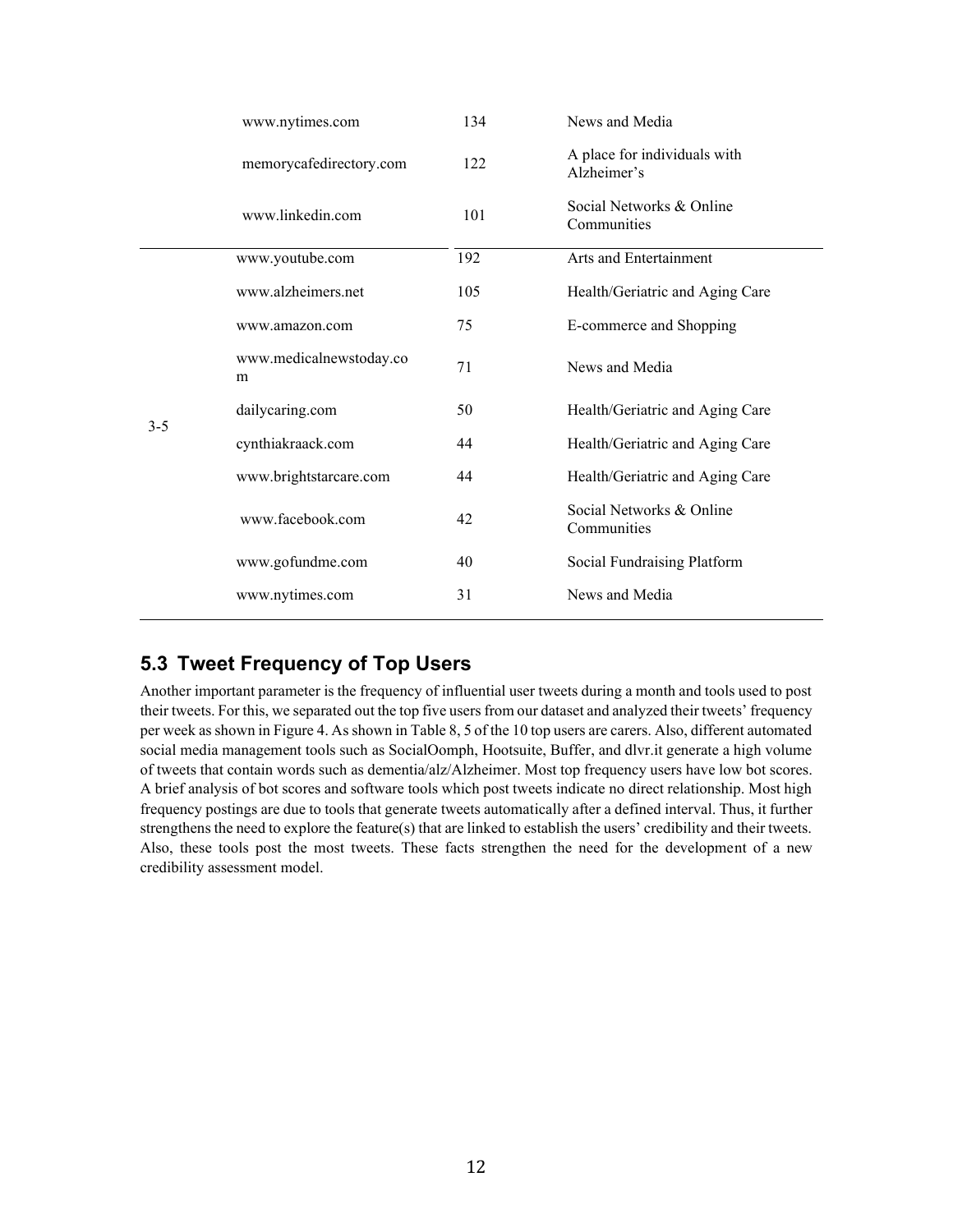|         | www.nytimes.com              | 134 | News and Media                              |
|---------|------------------------------|-----|---------------------------------------------|
|         | memorycafedirectory.com      | 122 | A place for individuals with<br>Alzheimer's |
|         | www.linkedin.com             | 101 | Social Networks & Online<br>Communities     |
|         | www.youtube.com              | 192 | Arts and Entertainment                      |
|         | www.alzheimers.net           | 105 | Health/Geriatric and Aging Care             |
|         | www.amazon.com               | 75  | E-commerce and Shopping                     |
| $3 - 5$ | www.medicalnewstoday.co<br>m | 71  | News and Media                              |
|         | dailycaring.com              | 50  | Health/Geriatric and Aging Care             |
|         | cynthiakraack.com            | 44  | Health/Geriatric and Aging Care             |
|         | www.brightstarcare.com       | 44  | Health/Geriatric and Aging Care             |
|         | www.facebook.com             | 42  | Social Networks & Online<br>Communities     |
|         | www.gofundme.com             | 40  | Social Fundraising Platform                 |
|         | www.nytimes.com              | 31  | News and Media                              |
|         |                              |     |                                             |

## **5.3 Tweet Frequency of Top Users**

Another important parameter is the frequency of influential user tweets during a month and tools used to post their tweets. For this, we separated out the top five users from our dataset and analyzed their tweets' frequency per week as shown in Figure 4. As shown in Table 8, 5 of the 10 top users are carers. Also, different automated social media management tools such as SocialOomph, Hootsuite, Buffer, and dlvr.it generate a high volume of tweets that contain words such as dementia/alz/Alzheimer. Most top frequency users have low bot scores. A brief analysis of bot scores and software tools which post tweets indicate no direct relationship. Most high frequency postings are due to tools that generate tweets automatically after a defined interval. Thus, it further strengthens the need to explore the feature(s) that are linked to establish the users' credibility and their tweets. Also, these tools post the most tweets. These facts strengthen the need for the development of a new credibility assessment model.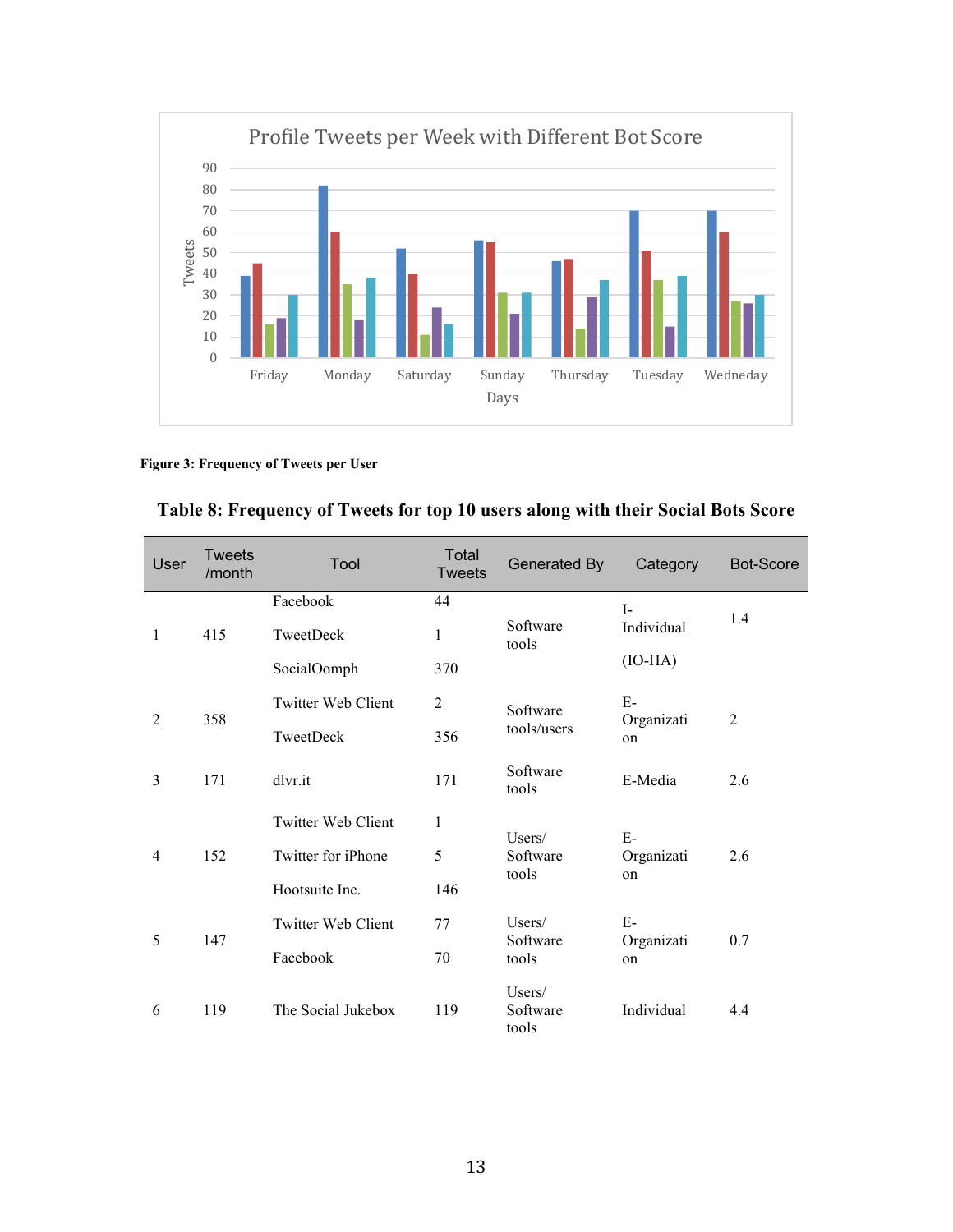

#### **Figure 3: Frequency of Tweets per User**

|  |  |  | Table 8: Frequency of Tweets for top 10 users along with their Social Bots Score |
|--|--|--|----------------------------------------------------------------------------------|
|  |  |  |                                                                                  |

| User           | <b>Tweets</b><br>/month | Tool               | Total<br><b>Tweets</b> | Generated By                | Category         | <b>Bot-Score</b> |
|----------------|-------------------------|--------------------|------------------------|-----------------------------|------------------|------------------|
|                |                         | Facebook           | 44                     |                             | $I-$             | 1.4              |
| $\mathbf{1}$   | 415                     | TweetDeck          | $\mathbf{1}$           | Software<br>tools           | Individual       |                  |
|                |                         | SocialOomph        | 370                    |                             | $(IO-HA)$        |                  |
|                |                         | Twitter Web Client | $\overline{2}$         | Software                    | $E-$             |                  |
| 2<br>358       | TweetDeck               | 356                | tools/users            | Organizati<br>on            | $\overline{2}$   |                  |
| 3              | 171                     | dlvr.it            | 171                    | Software<br>tools           | E-Media          | 2.6              |
|                |                         | Twitter Web Client | 1                      | Users/                      | $E-$             |                  |
| $\overline{4}$ | 152                     | Twitter for iPhone | 5                      | Software                    | Organizati       | 2.6              |
|                |                         | Hootsuite Inc.     | 146                    | tools                       | on               |                  |
|                |                         | Twitter Web Client | 77                     | Users/                      | $E-$             |                  |
| 5<br>147       |                         | Facebook           | 70                     | Software<br>tools           | Organizati<br>on | 0.7              |
| 6              | 119                     | The Social Jukebox | 119                    | Users/<br>Software<br>tools | Individual       | 4.4              |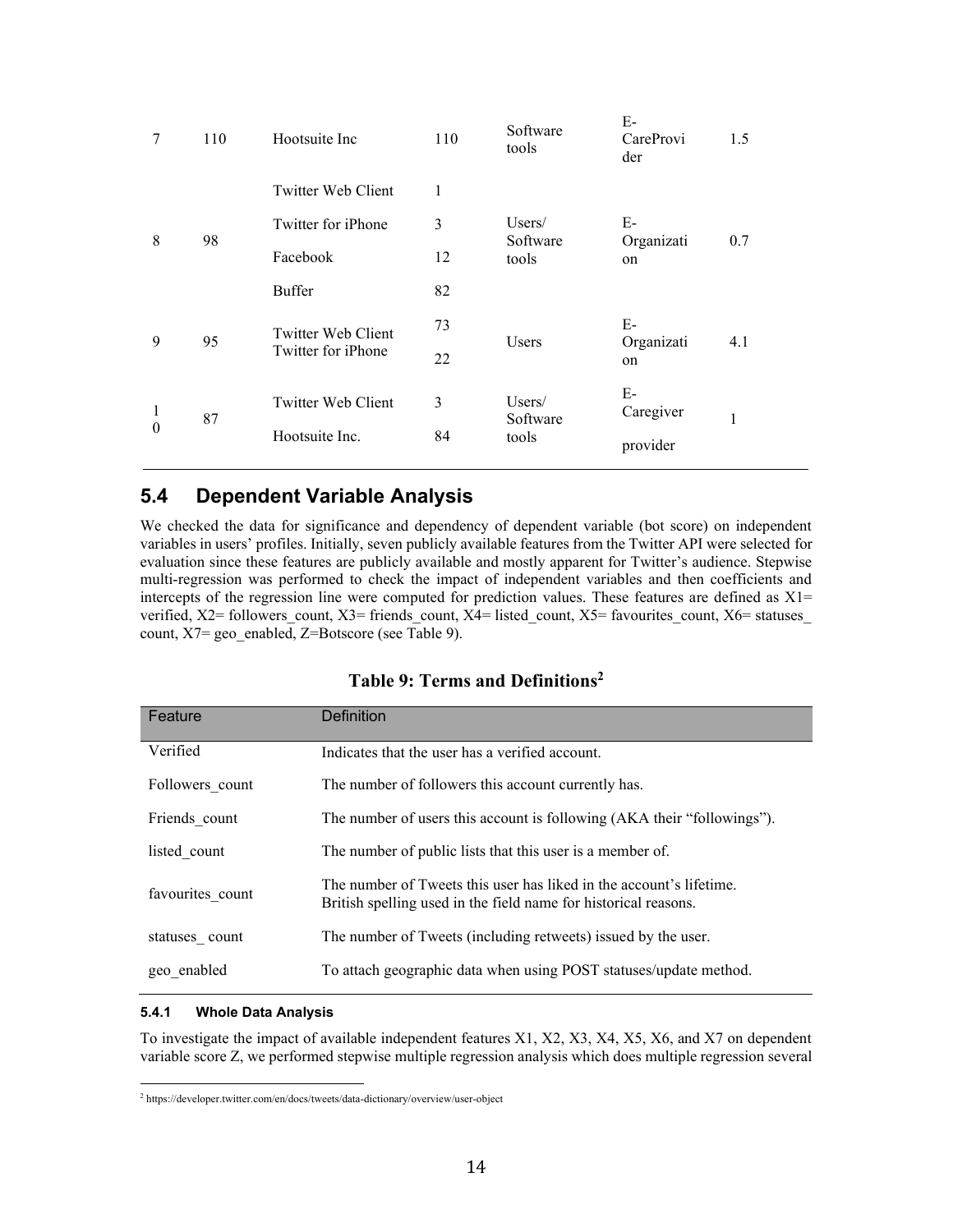| 7                        | 110 | Hootsuite Inc             | 110 | Software<br>tools  | E-<br>CareProvi<br>der | 1.5 |
|--------------------------|-----|---------------------------|-----|--------------------|------------------------|-----|
|                          |     | Twitter Web Client        | 1   |                    |                        |     |
|                          |     | Twitter for <i>iPhone</i> | 3   | Users/<br>Software | E-<br>Organizati<br>on |     |
| 8                        | 98  | Facebook                  | 12  | tools              |                        | 0.7 |
|                          |     | Buffer                    | 82  |                    |                        |     |
| 9<br>95                  |     | Twitter Web Client        | 73  |                    | $E-$                   | 4.1 |
|                          |     | Twitter for <i>iPhone</i> | 22  | Users              | Organizati<br>on       |     |
|                          |     | Twitter Web Client        | 3   | Users/             | E-                     |     |
| $\mathbf{1}$<br>$\theta$ | 87  |                           | 84  | Software<br>tools  | Caregiver              | 1   |
|                          |     | Hootsuite Inc.            |     |                    | provider               |     |
|                          |     |                           |     |                    |                        |     |

## **5.4 Dependent Variable Analysis**

We checked the data for significance and dependency of dependent variable (bot score) on independent variables in users' profiles. Initially, seven publicly available features from the Twitter API were selected for evaluation since these features are publicly available and mostly apparent for Twitter's audience. Stepwise multi-regression was performed to check the impact of independent variables and then coefficients and intercepts of the regression line were computed for prediction values. These features are defined as  $X1$ = verified, X2= followers\_count, X3= friends\_count, X4= listed\_count, X5= favourites\_count, X6= statuses count, X7= geo\_enabled, Z=Botscore (see Table 9).

#### **Table 9: Terms and Definitions<sup>2</sup>**

| Feature          | Definition                                                                                                                             |
|------------------|----------------------------------------------------------------------------------------------------------------------------------------|
| Verified         | Indicates that the user has a verified account.                                                                                        |
| Followers count  | The number of followers this account currently has.                                                                                    |
| Friends count    | The number of users this account is following (AKA their "followings").                                                                |
| listed count     | The number of public lists that this user is a member of.                                                                              |
| favourites count | The number of Tweets this user has liked in the account's lifetime.<br>British spelling used in the field name for historical reasons. |
| statuses count   | The number of Tweets (including retweets) issued by the user.                                                                          |
| geo enabled      | To attach geographic data when using POST statuses/update method.                                                                      |

#### **5.4.1 Whole Data Analysis**

To investigate the impact of available independent features X1, X2, X3, X4, X5, X6, and X7 on dependent variable score Z, we performed stepwise multiple regression analysis which does multiple regression several

<sup>2</sup> <https://developer.twitter.com/en/docs/tweets/data-dictionary/overview/user-object>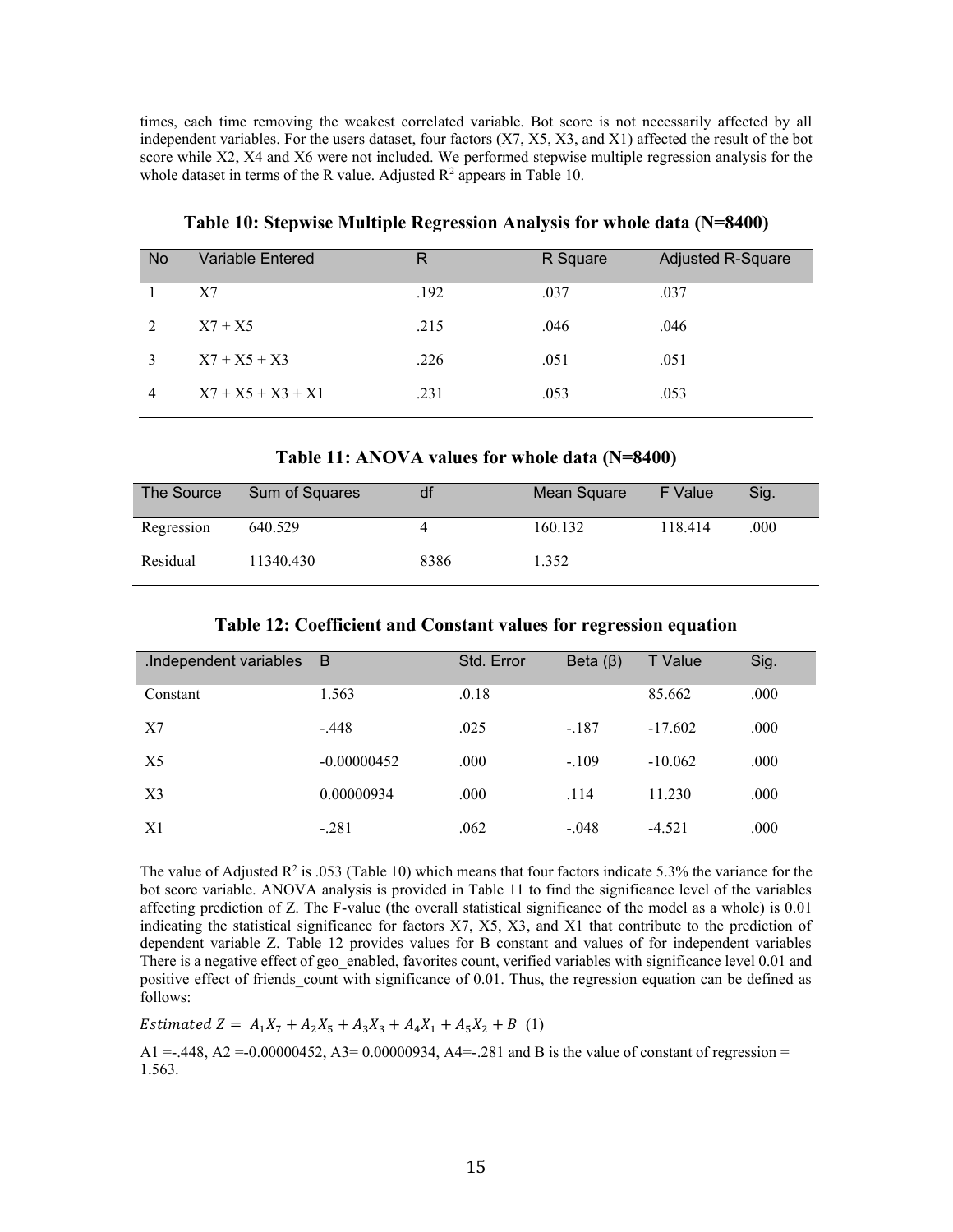times, each time removing the weakest correlated variable. Bot score is not necessarily affected by all independent variables. For the users dataset, four factors (X7, X5, X3, and X1) affected the result of the bot score while X2, X4 and X6 were not included. We performed stepwise multiple regression analysis for the whole dataset in terms of the R value. Adjusted  $R^2$  appears in Table 10.

| <b>No</b>      | Variable Entered    | R    | R Square | <b>Adjusted R-Square</b> |
|----------------|---------------------|------|----------|--------------------------|
|                | X7                  | .192 | .037     | .037                     |
| 2              | $X7 + X5$           | .215 | .046     | .046                     |
| $\mathcal{E}$  | $X7 + X5 + X3$      | .226 | .051     | .051                     |
| $\overline{4}$ | $X7 + X5 + X3 + X1$ | .231 | .053     | .053                     |

**Table 10: Stepwise Multiple Regression Analysis for whole data (N=8400)**

**Table 11: ANOVA values for whole data (N=8400)**

| The Source | Sum of Squares | df   | Mean Square | F Value | Sig. |
|------------|----------------|------|-------------|---------|------|
| Regression | 640.529        |      | 160.132     | 118.414 | .000 |
| Residual   | 11340.430      | 8386 | 1.352       |         |      |

|  |  |  |  | Table 12: Coefficient and Constant values for regression equation |  |
|--|--|--|--|-------------------------------------------------------------------|--|
|  |  |  |  |                                                                   |  |

| .Independent variables | - B           | Std. Error | Beta $(\beta)$ | <b>T</b> Value | Sig. |
|------------------------|---------------|------------|----------------|----------------|------|
| Constant               | 1.563         | .0.18      |                | 85.662         | .000 |
| X7                     | $-.448$       | .025       | $-.187$        | $-17.602$      | .000 |
| X5                     | $-0.00000452$ | .000       | $-.109$        | $-10.062$      | .000 |
| X3                     | 0.00000934    | .000       | .114           | 11.230         | .000 |
| X1                     | $-.281$       | .062       | $-.048$        | $-4.521$       | .000 |
|                        |               |            |                |                |      |

The value of Adjusted  $\mathbb{R}^2$  is .053 (Table 10) which means that four factors indicate 5.3% the variance for the bot score variable. ANOVA analysis is provided in Table 11 to find the significance level of the variables affecting prediction of Z. The F-value (the overall statistical significance of the model as a whole) is 0.01 indicating the statistical significance for factors X7, X5, X3, and X1 that contribute to the prediction of dependent variable Z. Table 12 provides values for B constant and values of for independent variables There is a negative effect of geo enabled, favorites count, verified variables with significance level 0.01 and positive effect of friends count with significance of 0.01. Thus, the regression equation can be defined as follows:

Estimated  $Z = A_1 X_7 + A_2 X_5 + A_3 X_3 + A_4 X_1 + A_5 X_2 + B$  (1)

 $A1 = -0.448$ ,  $A2 = -0.00000452$ ,  $A3 = 0.00000934$ ,  $A4 = -0.281$  and B is the value of constant of regression = 1.563.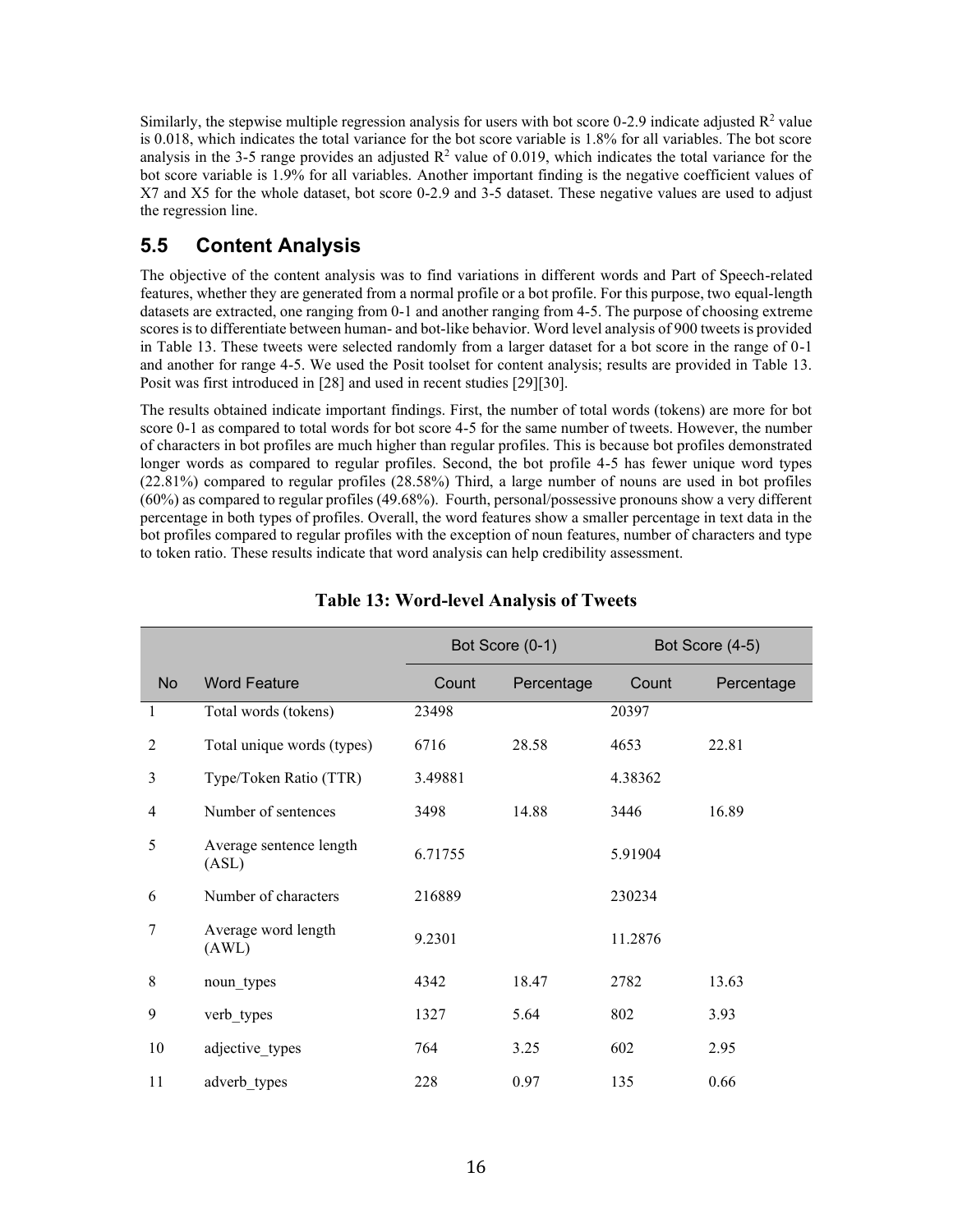Similarly, the stepwise multiple regression analysis for users with bot score 0-2.9 indicate adjusted  $\mathbb{R}^2$  value is 0.018, which indicates the total variance for the bot score variable is 1.8% for all variables. The bot score analysis in the 3-5 range provides an adjusted  $R^2$  value of 0.019, which indicates the total variance for the bot score variable is 1.9% for all variables. Another important finding is the negative coefficient values of X7 and X5 for the whole dataset, bot score 0-2.9 and 3-5 dataset. These negative values are used to adjust the regression line.

# **5.5 Content Analysis**

The objective of the content analysis was to find variations in different words and Part of Speech-related features, whether they are generated from a normal profile or a bot profile. For this purpose, two equal-length datasets are extracted, one ranging from 0-1 and another ranging from 4-5. The purpose of choosing extreme scores is to differentiate between human- and bot-like behavior. Word level analysis of 900 tweets is provided in Table 13. These tweets were selected randomly from a larger dataset for a bot score in the range of 0-1 and another for range 4-5. We used the Posit toolset for content analysis; results are provided in Table 13. Posit was first introduced in [28] and used in recent studies [29][30].

The results obtained indicate important findings. First, the number of total words (tokens) are more for bot score 0-1 as compared to total words for bot score 4-5 for the same number of tweets. However, the number of characters in bot profiles are much higher than regular profiles. This is because bot profiles demonstrated longer words as compared to regular profiles. Second, the bot profile 4-5 has fewer unique word types (22.81%) compared to regular profiles (28.58%) Third, a large number of nouns are used in bot profiles (60%) as compared to regular profiles (49.68%). Fourth, personal/possessive pronouns show a very different percentage in both types of profiles. Overall, the word features show a smaller percentage in text data in the bot profiles compared to regular profiles with the exception of noun features, number of characters and type to token ratio. These results indicate that word analysis can help credibility assessment.

|           |                                  | Bot Score (0-1) |            |         | Bot Score (4-5) |
|-----------|----------------------------------|-----------------|------------|---------|-----------------|
| <b>No</b> | <b>Word Feature</b>              | Count           | Percentage | Count   | Percentage      |
| 1         | Total words (tokens)             | 23498           |            | 20397   |                 |
| 2         | Total unique words (types)       | 6716            | 28.58      | 4653    | 22.81           |
| 3         | Type/Token Ratio (TTR)           | 3.49881         |            | 4.38362 |                 |
| 4         | Number of sentences              | 3498            | 14.88      | 3446    | 16.89           |
| 5         | Average sentence length<br>(ASL) | 6.71755         |            | 5.91904 |                 |
| 6         | Number of characters             | 216889          |            | 230234  |                 |
| 7         | Average word length<br>(AWL)     | 9.2301          |            | 11.2876 |                 |
| 8         | noun_types                       | 4342            | 18.47      | 2782    | 13.63           |
| 9         | verb types                       | 1327            | 5.64       | 802     | 3.93            |
| 10        | adjective types                  | 764             | 3.25       | 602     | 2.95            |
| 11        | adverb types                     | 228             | 0.97       | 135     | 0.66            |

### **Table 13: Word-level Analysis of Tweets**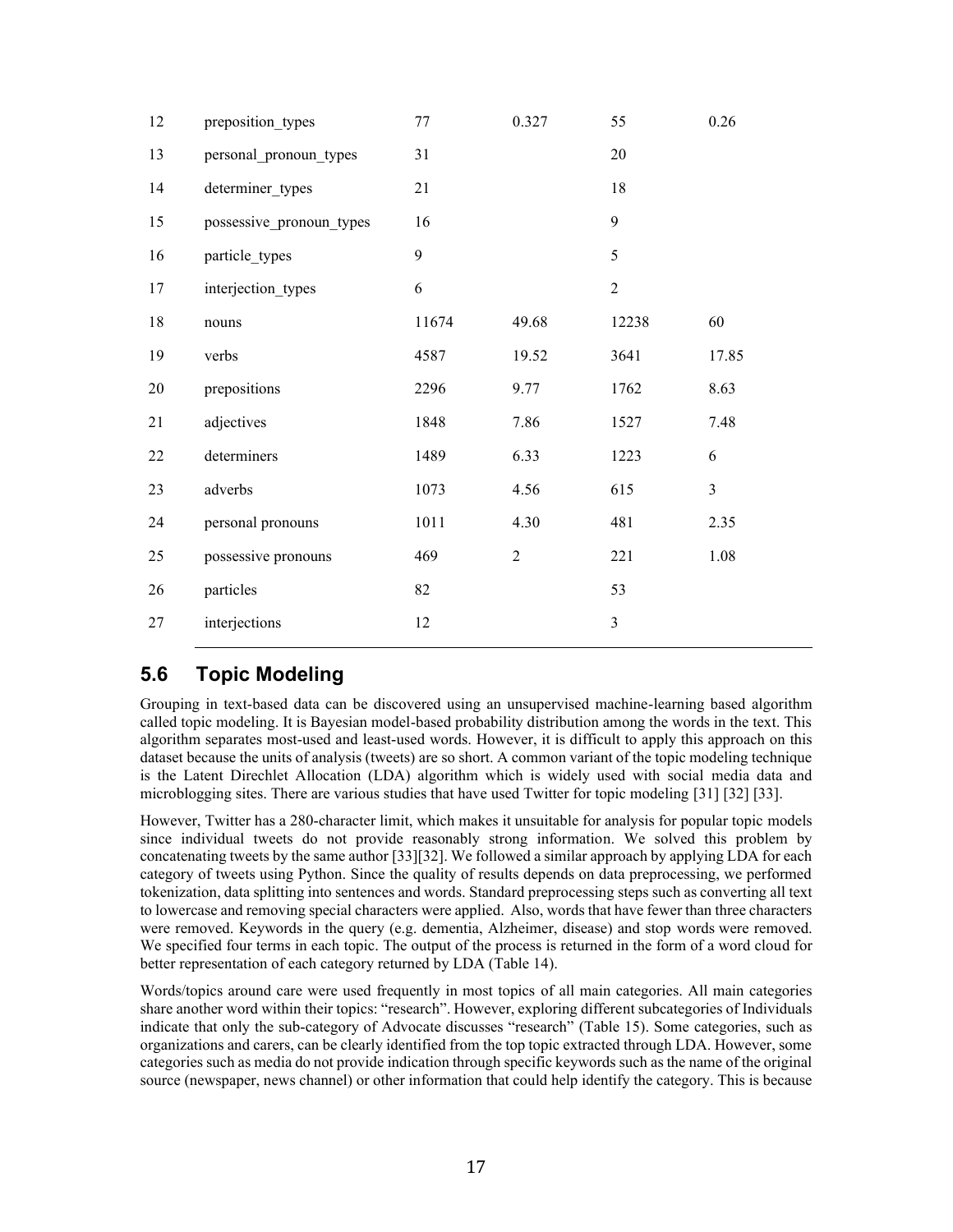| 12     | preposition_types        | $77 \,$ | 0.327          | 55             | 0.26           |
|--------|--------------------------|---------|----------------|----------------|----------------|
| 13     | personal pronoun types   | 31      |                | 20             |                |
| 14     | determiner_types         | 21      |                | 18             |                |
| 15     | possessive_pronoun_types | 16      |                | 9              |                |
| 16     | particle_types           | 9       |                | 5              |                |
| 17     | interjection_types       | 6       |                | $\overline{2}$ |                |
| 18     | nouns                    | 11674   | 49.68          | 12238          | 60             |
| 19     | verbs                    | 4587    | 19.52          | 3641           | 17.85          |
| $20\,$ | prepositions             | 2296    | 9.77           | 1762           | 8.63           |
| 21     | adjectives               | 1848    | 7.86           | 1527           | 7.48           |
| 22     | determiners              | 1489    | 6.33           | 1223           | 6              |
| 23     | adverbs                  | 1073    | 4.56           | 615            | $\mathfrak{Z}$ |
| 24     | personal pronouns        | 1011    | 4.30           | 481            | 2.35           |
| 25     | possessive pronouns      | 469     | $\overline{2}$ | 221            | 1.08           |
| 26     | particles                | 82      |                | 53             |                |
| 27     | interjections            | 12      |                | $\mathfrak{Z}$ |                |
|        |                          |         |                |                |                |

# **5.6 Topic Modeling**

Grouping in text-based data can be discovered using an unsupervised machine-learning based algorithm called topic modeling. It is Bayesian model-based probability distribution among the words in the text. This algorithm separates most-used and least-used words. However, it is difficult to apply this approach on this dataset because the units of analysis (tweets) are so short. A common variant of the topic modeling technique is the Latent Direchlet Allocation (LDA) algorithm which is widely used with social media data and microblogging sites. There are various studies that have used Twitter for topic modeling [31] [32] [33].

However, Twitter has a 280-character limit, which makes it unsuitable for analysis for popular topic models since individual tweets do not provide reasonably strong information. We solved this problem by concatenating tweets by the same author [33][32]. We followed a similar approach by applying LDA for each category of tweets using Python. Since the quality of results depends on data preprocessing, we performed tokenization, data splitting into sentences and words. Standard preprocessing steps such as converting all text to lowercase and removing special characters were applied. Also, words that have fewer than three characters were removed. Keywords in the query (e.g. dementia, Alzheimer, disease) and stop words were removed. We specified four terms in each topic. The output of the process is returned in the form of a word cloud for better representation of each category returned by LDA (Table 14).

Words/topics around care were used frequently in most topics of all main categories. All main categories share another word within their topics: "research". However, exploring different subcategories of Individuals indicate that only the sub-category of Advocate discusses "research" (Table 15). Some categories, such as organizations and carers, can be clearly identified from the top topic extracted through LDA. However, some categories such as media do not provide indication through specific keywords such as the name of the original source (newspaper, news channel) or other information that could help identify the category. This is because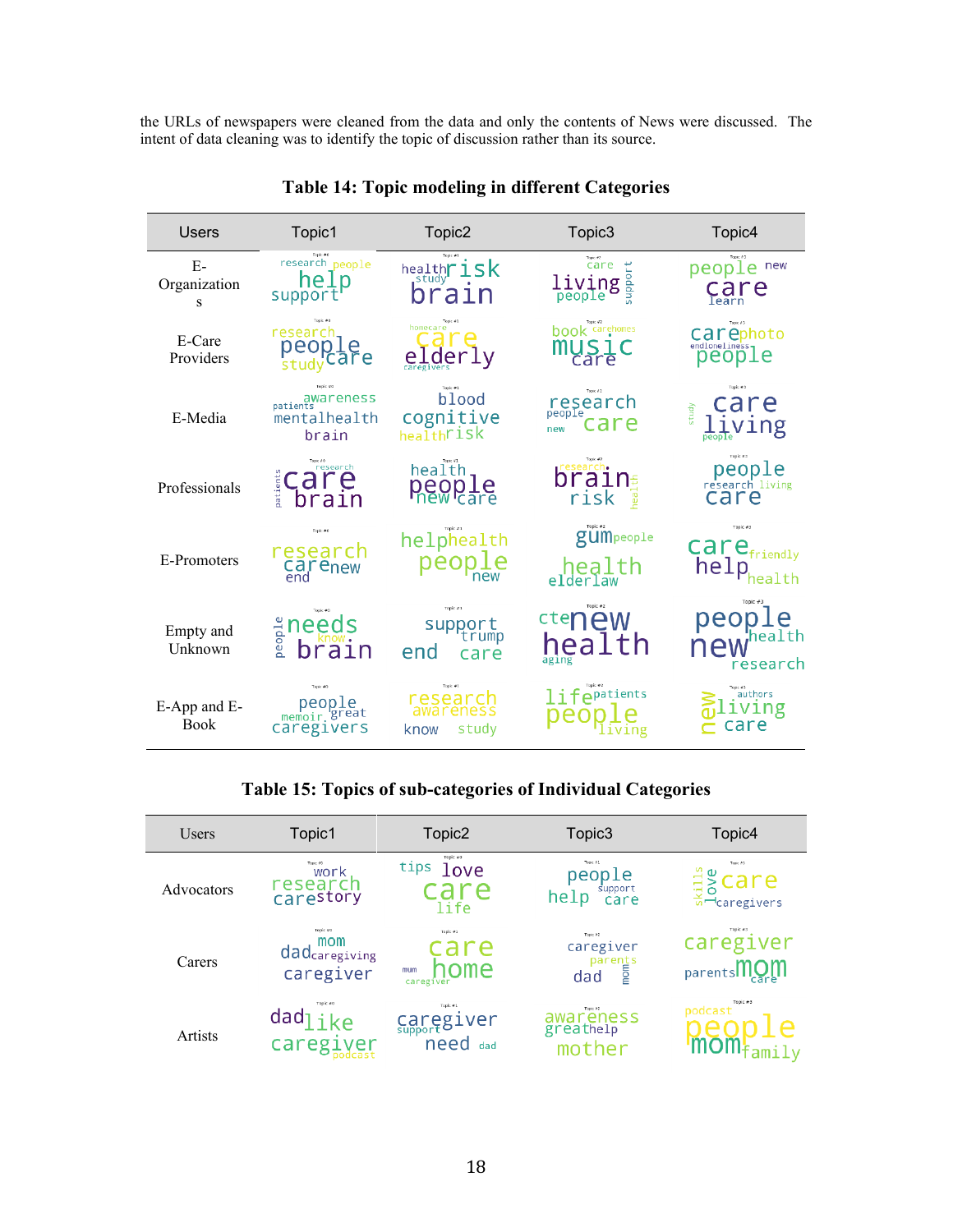the URLs of newspapers were cleaned from the data and only the contents of News were discussed. The intent of data cleaning was to identify the topic of discussion rather than its source.

| <b>Users</b>                | Topic1                                         | Topic2                                                   | Topic3                                            | Topic4                                                        |
|-----------------------------|------------------------------------------------|----------------------------------------------------------|---------------------------------------------------|---------------------------------------------------------------|
| $E-$<br>Organization<br>S   | Topic #0<br>research people<br>help<br>support | isk<br>health <b>r</b><br>braın                          | care<br>support<br>living<br><sup>people</sup>    | people new<br>$C_{\text{learn}}$ e                            |
| E-Care<br>Providers         | research<br>peop<br>studyCar                   | homecare<br>elderly                                      | <b>book</b> carehomes<br>MUSI<br>care             | Topic #3<br>Carephoto                                         |
| E-Media                     | awareness<br>mentalhealth<br>brain             | Topic #1<br>blood<br>COgnitive<br>health <sup>risk</sup> | Topic #2<br>research<br>care<br>new               | Topic #3<br>are<br>study                                      |
| Professionals               | research<br>care<br>patient<br>brain           | health<br><b>people</b>                                  | esearch.<br>braın $\epsilon$<br>risk<br><b>Ba</b> | Topic #3<br>people<br>research_living<br>care                 |
| E-Promoters                 | Topic #0<br>research<br>Carenew                | helphealth<br>people                                     | Topic #2<br>gumpeople<br>health<br>elderlaw       | Topic #3<br>$\text{car}e_{\text{friendly}}$<br>help<br>health |
| Empty and<br>Unknown        | $\frac{a}{2}$ needs<br>brain                   | Topic #1<br>support<br>end<br>care                       | ctenew<br>health                                  | Topic #3<br>people<br>health;<br>new<br>research              |
| E-App and E-<br><b>Book</b> | people<br>memoir great<br><b>caregivers</b>    | Topic →1<br>research<br>study<br>know                    | $\mathbf{1}$ i fepatients<br>iving                | authors<br>ving<br>care                                       |

**Table 14: Topic modeling in different Categories**

## **Table 15: Topics of sub-categories of Individual Categories**

| Users      | Topic1                                        | Topic <sub>2</sub>                          | Topic3                                          | Topic4                                                 |
|------------|-----------------------------------------------|---------------------------------------------|-------------------------------------------------|--------------------------------------------------------|
| Advocators | Topic VO<br>work<br>researc<br>carestory      | Topic #0<br>tips<br>love<br>re<br>life      | Topic #1<br>people<br>support<br>Care<br>help   | Topic AD<br>$\frac{10}{12}$ Care<br>$\frac{1}{6}$ care |
| Carers     | Topic #0<br>mom<br>dadcaregiving<br>caregiver | Topic #1<br>are<br>າome<br>mum<br>caregiver | Topic A2<br>caregiver<br>parents<br>ad e<br>dad | Topic #3<br>caregiver<br>parentsIIIOM<br>care          |
| Artists    | $\textsf{dad}_\textsf{like}$<br>caregiver     | Topic #1<br>Caregiver<br>need<br>dad        | Topic A2<br>awareness<br>greathelp              | Topic #3<br>podcast                                    |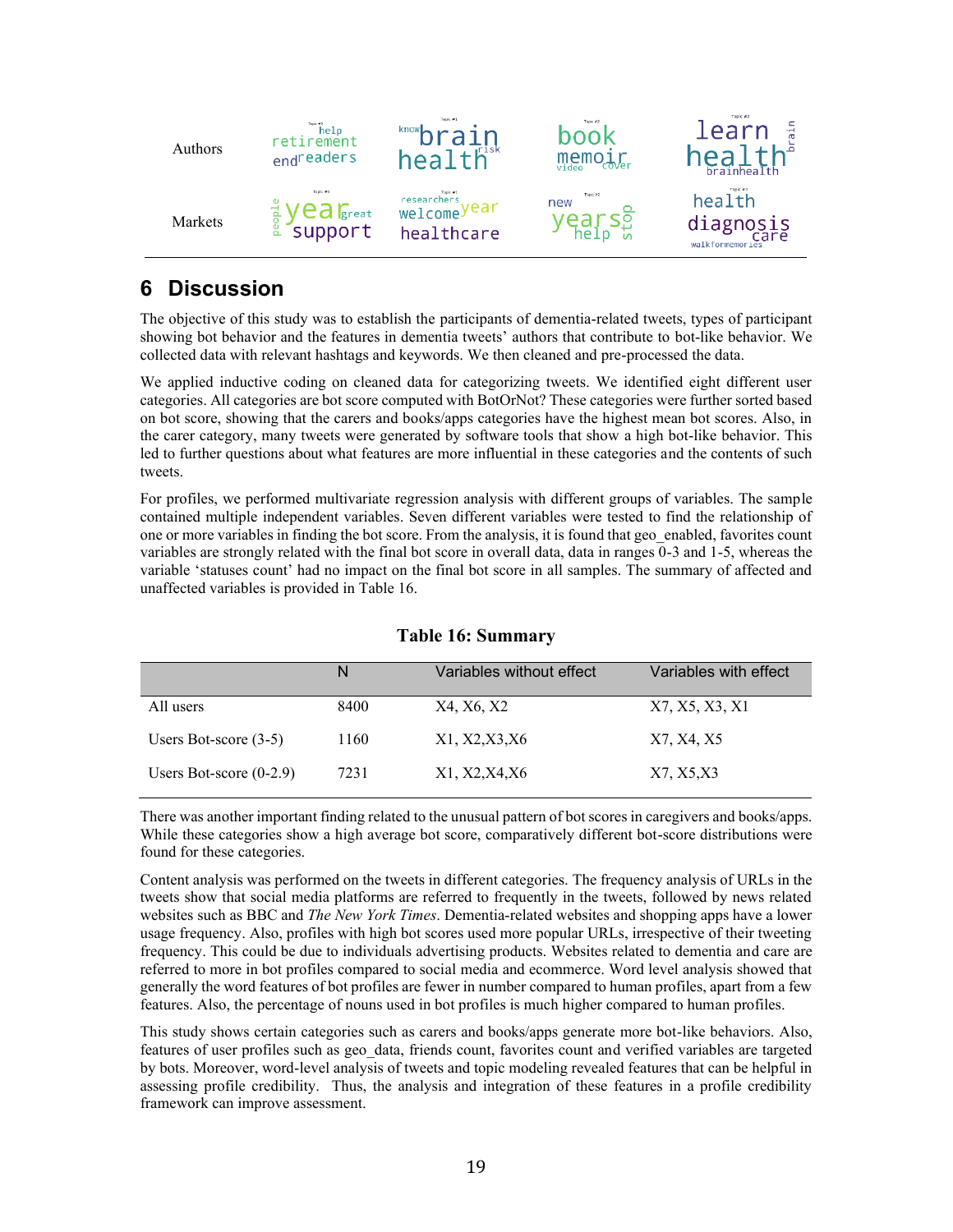

# **6 Discussion**

The objective of this study was to establish the participants of dementia-related tweets, types of participant showing bot behavior and the features in dementia tweets' authors that contribute to bot-like behavior. We collected data with relevant hashtags and keywords. We then cleaned and pre-processed the data.

We applied inductive coding on cleaned data for categorizing tweets. We identified eight different user categories. All categories are bot score computed with BotOrNot? These categories were further sorted based on bot score, showing that the carers and books/apps categories have the highest mean bot scores. Also, in the carer category, many tweets were generated by software tools that show a high bot-like behavior. This led to further questions about what features are more influential in these categories and the contents of such tweets.

For profiles, we performed multivariate regression analysis with different groups of variables. The sample contained multiple independent variables. Seven different variables were tested to find the relationship of one or more variables in finding the bot score. From the analysis, it is found that geo\_enabled, favorites count variables are strongly related with the final bot score in overall data, data in ranges 0-3 and 1-5, whereas the variable 'statuses count' had no impact on the final bot score in all samples. The summary of affected and unaffected variables is provided in Table 16.

|                           | N    | Variables without effect | Variables with effect |
|---------------------------|------|--------------------------|-----------------------|
| All users                 | 8400 | X4, X6, X2               | X7, X5, X3, X1        |
| Users Bot-score $(3-5)$   | 1160 | X1, X2, X3, X6           | X7, X4, X5            |
| Users Bot-score $(0-2.9)$ | 7231 | X1, X2, X4, X6           | X7, X5, X3            |

## **Table 16: Summary**

There was another important finding related to the unusual pattern of bot scores in caregivers and books/apps. While these categories show a high average bot score, comparatively different bot-score distributions were found for these categories.

Content analysis was performed on the tweets in different categories. The frequency analysis of URLs in the tweets show that social media platforms are referred to frequently in the tweets, followed by news related websites such as BBC and *The New York Times*. Dementia-related websites and shopping apps have a lower usage frequency. Also, profiles with high bot scores used more popular URLs, irrespective of their tweeting frequency. This could be due to individuals advertising products. Websites related to dementia and care are referred to more in bot profiles compared to social media and ecommerce. Word level analysis showed that generally the word features of bot profiles are fewer in number compared to human profiles, apart from a few features. Also, the percentage of nouns used in bot profiles is much higher compared to human profiles.

This study shows certain categories such as carers and books/apps generate more bot-like behaviors. Also, features of user profiles such as geo\_data, friends count, favorites count and verified variables are targeted by bots. Moreover, word-level analysis of tweets and topic modeling revealed features that can be helpful in assessing profile credibility. Thus, the analysis and integration of these features in a profile credibility framework can improve assessment.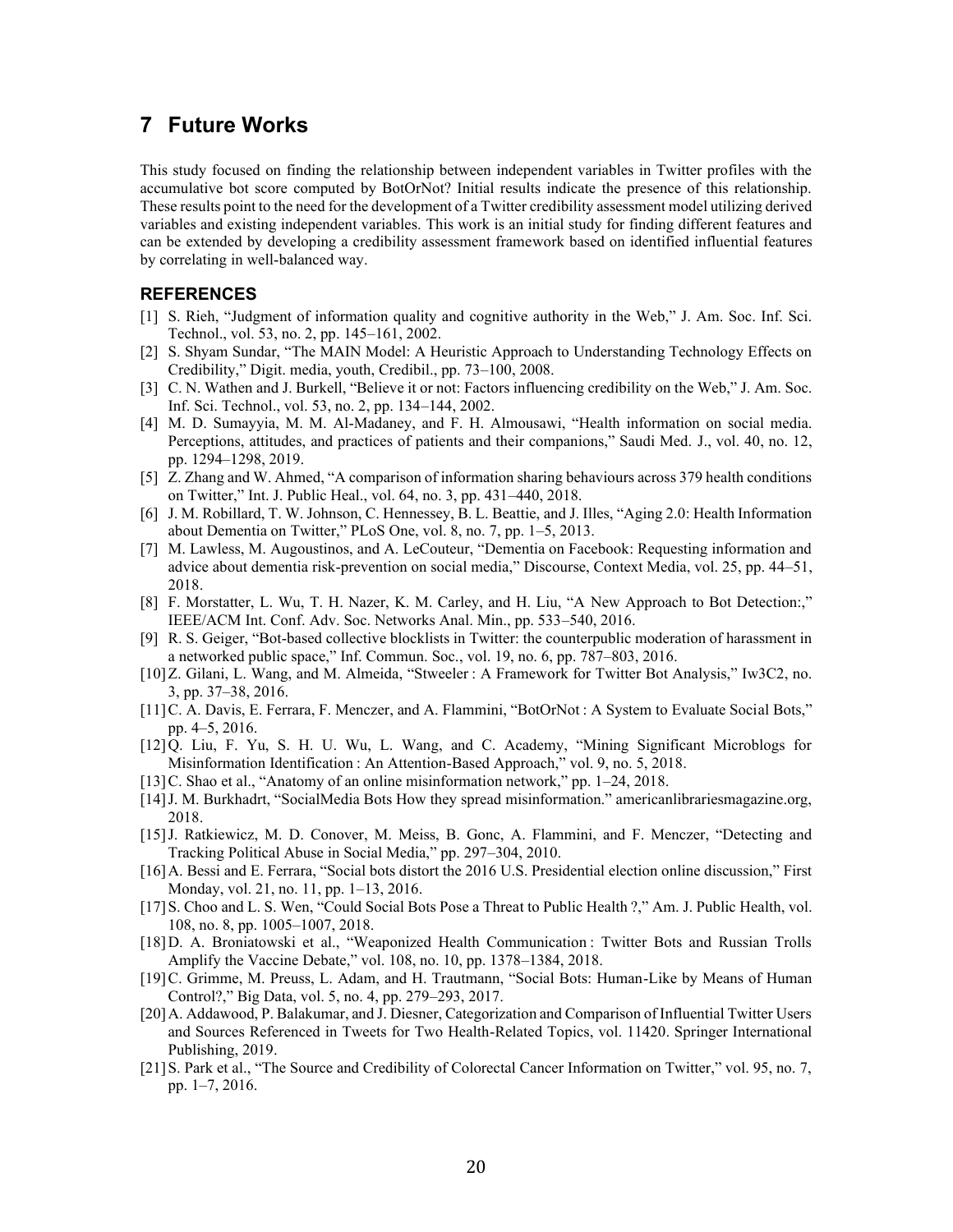## **7 Future Works**

This study focused on finding the relationship between independent variables in Twitter profiles with the accumulative bot score computed by BotOrNot? Initial results indicate the presence of this relationship. These results point to the need for the development of a Twitter credibility assessment model utilizing derived variables and existing independent variables. This work is an initial study for finding different features and can be extended by developing a credibility assessment framework based on identified influential features by correlating in well-balanced way.

#### **REFERENCES**

- [1] S. Rieh, "Judgment of information quality and cognitive authority in the Web," J. Am. Soc. Inf. Sci. Technol., vol. 53, no. 2, pp. 145–161, 2002.
- [2] S. Shyam Sundar, "The MAIN Model: A Heuristic Approach to Understanding Technology Effects on Credibility," Digit. media, youth, Credibil., pp. 73–100, 2008.
- [3] C. N. Wathen and J. Burkell, "Believe it or not: Factors influencing credibility on the Web," J. Am. Soc. Inf. Sci. Technol., vol. 53, no. 2, pp. 134–144, 2002.
- [4] M. D. Sumayyia, M. M. Al-Madaney, and F. H. Almousawi, "Health information on social media. Perceptions, attitudes, and practices of patients and their companions," Saudi Med. J., vol. 40, no. 12, pp. 1294–1298, 2019.
- [5] Z. Zhang and W. Ahmed, "A comparison of information sharing behaviours across 379 health conditions on Twitter," Int. J. Public Heal., vol. 64, no. 3, pp. 431–440, 2018.
- [6] J. M. Robillard, T. W. Johnson, C. Hennessey, B. L. Beattie, and J. Illes, "Aging 2.0: Health Information about Dementia on Twitter," PLoS One, vol. 8, no. 7, pp. 1–5, 2013.
- [7] M. Lawless, M. Augoustinos, and A. LeCouteur, "Dementia on Facebook: Requesting information and advice about dementia risk-prevention on social media," Discourse, Context Media, vol. 25, pp. 44–51, 2018.
- [8] F. Morstatter, L. Wu, T. H. Nazer, K. M. Carley, and H. Liu, "A New Approach to Bot Detection:," IEEE/ACM Int. Conf. Adv. Soc. Networks Anal. Min., pp. 533–540, 2016.
- [9] R. S. Geiger, "Bot-based collective blocklists in Twitter: the counterpublic moderation of harassment in a networked public space," Inf. Commun. Soc., vol. 19, no. 6, pp. 787–803, 2016.
- [10]Z. Gilani, L. Wang, and M. Almeida, "Stweeler : A Framework for Twitter Bot Analysis," Iw3C2, no. 3, pp. 37–38, 2016.
- [11]C. A. Davis, E. Ferrara, F. Menczer, and A. Flammini, "BotOrNot : A System to Evaluate Social Bots," pp. 4–5, 2016.
- [12]Q. Liu, F. Yu, S. H. U. Wu, L. Wang, and C. Academy, "Mining Significant Microblogs for Misinformation Identification : An Attention-Based Approach," vol. 9, no. 5, 2018.
- [13]C. Shao et al., "Anatomy of an online misinformation network," pp. 1–24, 2018.
- [14]J. M. Burkhadrt, "SocialMedia Bots How they spread misinformation." americanlibrariesmagazine.org, 2018.
- [15]J. Ratkiewicz, M. D. Conover, M. Meiss, B. Gonc, A. Flammini, and F. Menczer, "Detecting and Tracking Political Abuse in Social Media," pp. 297–304, 2010.
- [16]A. Bessi and E. Ferrara, "Social bots distort the 2016 U.S. Presidential election online discussion," First Monday, vol. 21, no. 11, pp. 1–13, 2016.
- [17]S. Choo and L. S. Wen, "Could Social Bots Pose a Threat to Public Health ?," Am. J. Public Health, vol. 108, no. 8, pp. 1005–1007, 2018.
- [18]D. A. Broniatowski et al., "Weaponized Health Communication : Twitter Bots and Russian Trolls Amplify the Vaccine Debate," vol. 108, no. 10, pp. 1378–1384, 2018.
- [19]C. Grimme, M. Preuss, L. Adam, and H. Trautmann, "Social Bots: Human-Like by Means of Human Control?," Big Data, vol. 5, no. 4, pp. 279–293, 2017.
- [20]A. Addawood, P. Balakumar, and J. Diesner, Categorization and Comparison of Influential Twitter Users and Sources Referenced in Tweets for Two Health-Related Topics, vol. 11420. Springer International Publishing, 2019.
- [21]S. Park et al., "The Source and Credibility of Colorectal Cancer Information on Twitter," vol. 95, no. 7, pp. 1–7, 2016.